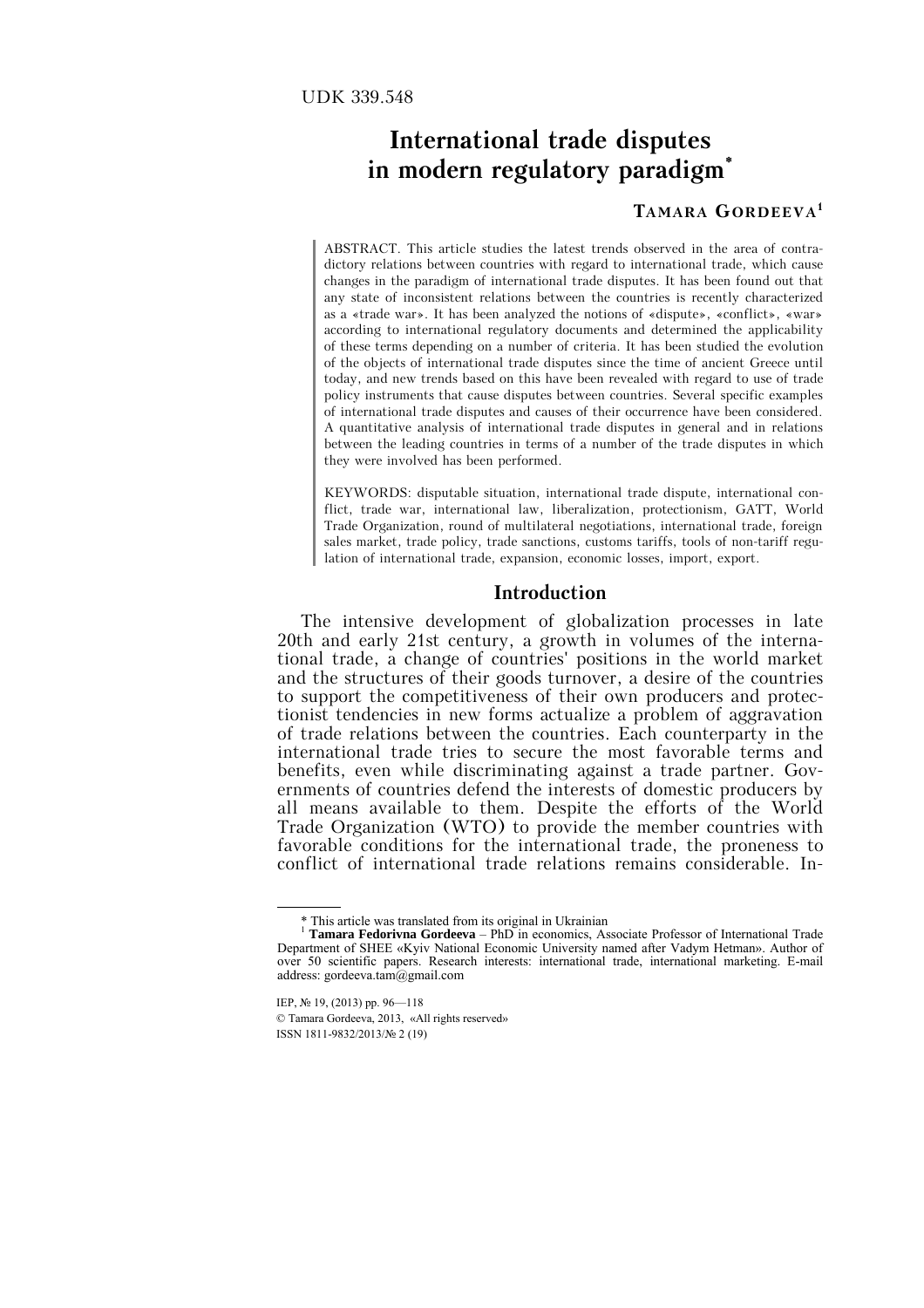# **International trade disputes in modern regulatory paradigm\***

## **TAMARA GORDEEVA1**

ABSTRACT. This article studies the latest trends observed in the area of contradictory relations between countries with regard to international trade, which cause changes in the paradigm of international trade disputes. It has been found out that any state of inconsistent relations between the countries is recently characterized as a «trade war». It has been analyzed the notions of «dispute», «conflict», «war» according to international regulatory documents and determined the applicability of these terms depending on a number of criteria. It has been studied the evolution of the objects of international trade disputes since the time of ancient Greece until today, and new trends based on this have been revealed with regard to use of trade policy instruments that cause disputes between countries. Several specific examples of international trade disputes and causes of their occurrence have been considered. A quantitative analysis of international trade disputes in general and in relations between the leading countries in terms of a number of the trade disputes in which they were involved has been performed.

KEYWORDS: disputable situation, international trade dispute, international conflict, trade war, international law, liberalization, protectionism, GATT, World Trade Organization, round of multilateral negotiations, international trade, foreign sales market, trade policy, trade sanctions, customs tariffs, tools of non-tariff regulation of international trade, expansion, economic losses, import, export.

### **Introduction**

The intensive development of globalization processes in late 20th and early 21st century, a growth in volumes of the international trade, a change of countries' positions in the world market and the structures of their goods turnover, a desire of the countries to support the competitiveness of their own producers and protectionist tendencies in new forms actualize a problem of aggravation of trade relations between the countries. Each counterparty in the international trade tries to secure the most favorable terms and benefits, even while discriminating against a trade partner. Governments of countries defend the interests of domestic producers by all means available to them. Despite the efforts of the World Trade Organization (WTO) to provide the member countries with favorable conditions for the international trade, the proneness to conflict of international trade relations remains considerable. In-

 <sup>\*</sup> This article was translated from its original in Ukrainian

<sup>1</sup> **Tamara Fedorivna Gordeeva** – PhD in economics, Associate Professor of International Trade Department of SHEE «Kyiv National Economic University named after Vadym Hetman». Author of over 50 scientific papers. Research interests: international trade, international marketing. Е-mail address: gordeeva.tam@gmail.com

IEP, № 19, (2013) pp. 96—118 © Tamara Gordeeva, 2013, «All rights reserved» ISSN 1811-9832/2013/№ 2 (19)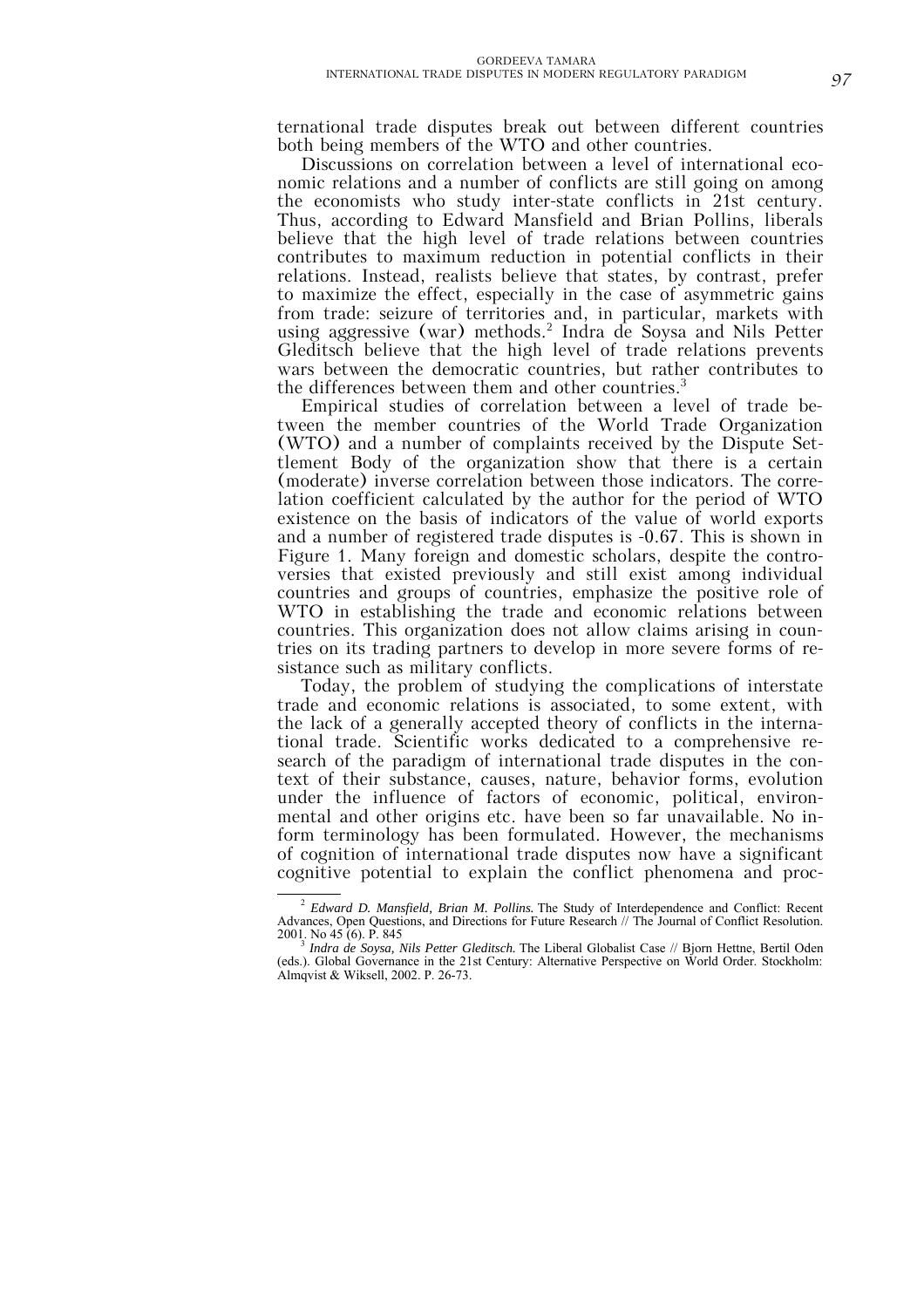ternational trade disputes break out between different countries both being members of the WTO and other countries.

Discussions on correlation between a level of international economic relations and a number of conflicts are still going on among the economists who study inter-state conflicts in 21st century. Thus, according to Edward Mansfield and Brian Pollins, liberals believe that the high level of trade relations between countries contributes to maximum reduction in potential conflicts in their relations. Instead, realists believe that states, by contrast, prefer to maximize the effect, especially in the case of asymmetric gains from trade: seizure of territories and, in particular, markets with using aggressive (war) methods.2 Indra de Soysa and Nils Petter Gleditsch believe that the high level of trade relations prevents wars between the democratic countries, but rather contributes to the differences between them and other countries.<sup>3</sup>

Empirical studies of correlation between a level of trade between the member countries of the World Trade Organization (WTO) and a number of complaints received by the Dispute Settlement Body of the organization show that there is a certain (moderate) inverse correlation between those indicators. The correlation coefficient calculated by the author for the period of WTO existence on the basis of indicators of the value of world exports and a number of registered trade disputes is -0.67. This is shown in Figure 1. Many foreign and domestic scholars, despite the controversies that existed previously and still exist among individual countries and groups of countries, emphasize the positive role of WTO in establishing the trade and economic relations between countries. This organization does not allow claims arising in countries on its trading partners to develop in more severe forms of resistance such as military conflicts.

Today, the problem of studying the complications of interstate trade and economic relations is associated, to some extent, with the lack of a generally accepted theory of conflicts in the international trade. Scientific works dedicated to a comprehensive research of the paradigm of international trade disputes in the context of their substance, causes, nature, behavior forms, evolution under the influence of factors of economic, political, environmental and other origins etc. have been so far unavailable. No inform terminology has been formulated. However, the mechanisms of cognition of international trade disputes now have a significant cognitive potential to explain the conflict phenomena and proc-

 $\overline{a}$  *Edward D. Mansfield, Brian M. Pollins.* The Study of Interdependence and Conflict: Recent Advances, Open Questions, and Directions for Future Research // The Journal of Conflict Resolution. 2001. No 45 (6). P. 845

*Indra de Soysa, Nils Petter Gleditsch.* The Liberal Globalist Case // Bjorn Hettne, Bertil Oden (eds.). Global Governance in the 21st Century: Alternative Perspective on World Order. Stockholm: Almqvist & Wiksell, 2002. P. 26-73.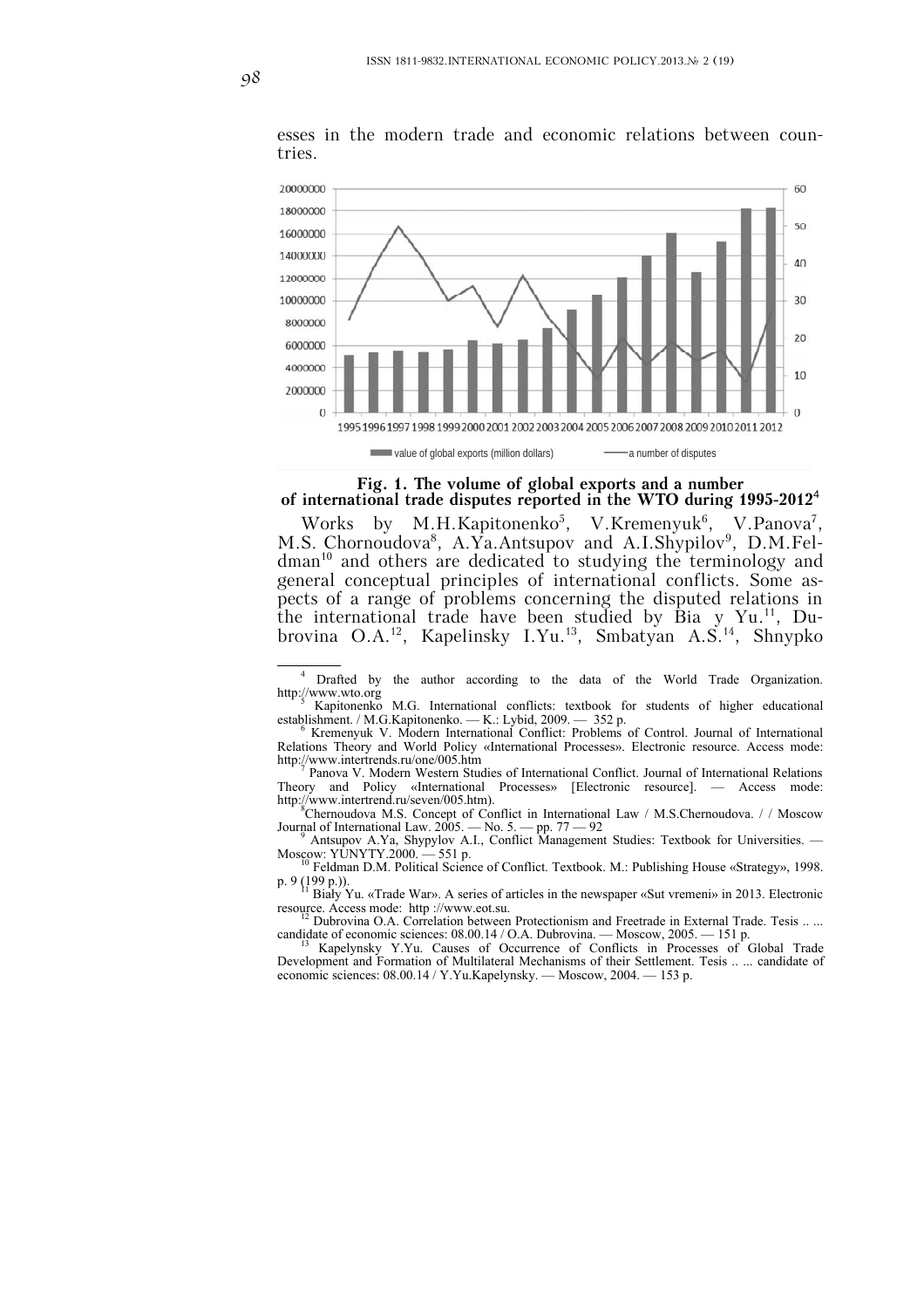

esses in the modern trade and economic relations between countries.

### **Fig. 1. The volume of global exports and a number of international trade disputes reported in the WTO during 1995-2012**<sup>4</sup>

Works by M.H.Kapitonenko<sup>5</sup>, V.Kremenyuk<sup>6</sup> , V.Panova7 , M.S. Chornoudova<sup>8</sup>, A.Ya.Antsupov and A.I.Shypilov<sup>9</sup>, D.M.Feldman<sup>10</sup> and others are dedicated to studying the terminology and general conceptual principles of international conflicts. Some aspects of a range of problems concerning the disputed relations in the international trade have been studied by Bia y Yu.<sup>11</sup>, Dubrovina O.A.<sup>12</sup>, Kapelinsky I.Yu.<sup>13</sup>, Smbatyan A.S.<sup>14</sup>, Shnypko

http://www.intertrend.ru/seven/005.htm).<br><sup>8</sup>Chernoudova M.S. Concept of Conflict in International Law / M.S.Chernoudova. / / Moscow

Journal of International Law. 2005. — No. 5. — pp. 77 — 92<br><sup>9</sup> Antsupov A.Ya, Shypylov A.I., Conflict Management Studies: Textbook for Universities. — Moscow: YUNYTY.2000. — 551 p.<br><sup>10</sup> Feldman D.M. Political Science of Conflict. Textbook. M.: Publishing House «Strategy», 1998.

p. 9 (199 p.)).<br><sup>11</sup> Biały Yu. «Trade War». A series of articles in the newspaper «Sut vremeni» in 2013. Electronic

resource. Access mode: http ://www.eot.su.<br><sup>12</sup> Dubrovina O.A. Correlation between Protectionism and Freetrade in External Trade. Tesis .. ...

candidate of economic sciences:  $08.00.14 / 0.A.$  Dubrovina. — Moscow,  $2005. - 151$  p.<br><sup>13</sup> Kapelynsky Y.Yu. Causes of Occurrence of Conflicts in Processes of Global Trade

Development and Formation of Multilateral Mechanisms of their Settlement. Tesis .. ... candidate of economic sciences: 08.00.14 / Y.Yu.Kapelynsky. — Moscow, 2004. — 153 p.

 $\frac{1}{4}$  Drafted by the author according to the data of the World Trade Organization. http://www.wto.org

Kapitonenko M.G. International conflicts: textbook for students of higher educational establishment. / M.G.Kapitonenko. — K.: Lybid, 2009. — 352 p.

Kremenyuk V. Modern International Conflict: Problems of Control. Journal of International Relations Theory and World Policy «International Processes». Electronic resource. Access mode: http://www.intertrends.ru/one/005.htm <sup>7</sup>

Panova V. Modern Western Studies of International Conflict. Journal of International Relations Theory and Policy «International Processes» [Electronic resource].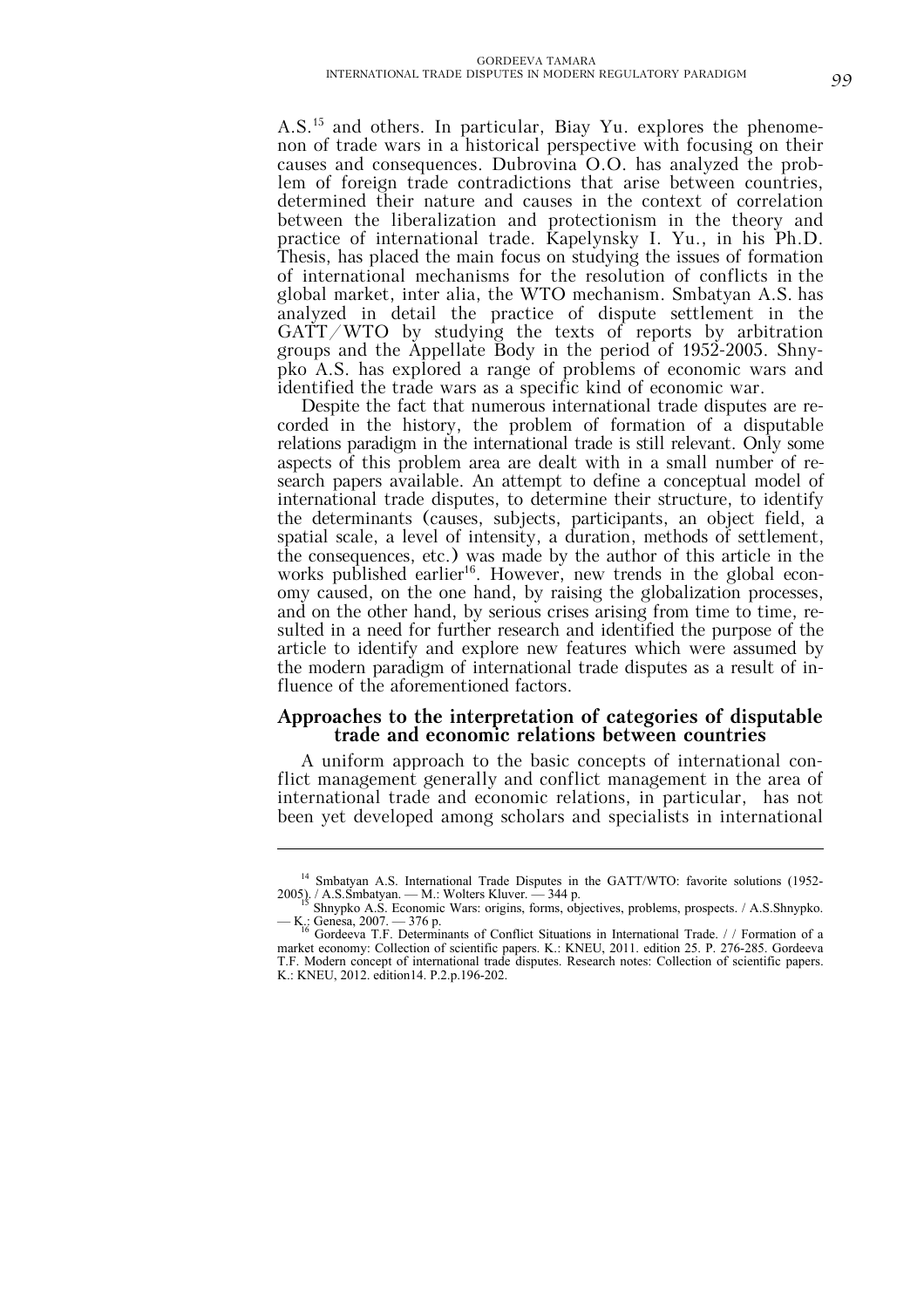A.S.15 and others. In particular, Biay Yu. explores the phenomenon of trade wars in a historical perspective with focusing on their causes and consequences. Dubrovina O.O. has analyzed the problem of foreign trade contradictions that arise between countries, determined their nature and causes in the context of correlation between the liberalization and protectionism in the theory and practice of international trade. Kapelynsky I. Yu., in his Ph.D. Thesis, has placed the main focus on studying the issues of formation of international mechanisms for the resolution of conflicts in the global market, inter alia, the WTO mechanism. Smbatyan A.S. has analyzed in detail the practice of dispute settlement in the GATT/WTO by studying the texts of reports by arbitration groups and the Appellate Body in the period of 1952-2005. Shnypko A.S. has explored a range of problems of economic wars and identified the trade wars as a specific kind of economic war.

Despite the fact that numerous international trade disputes are recorded in the history, the problem of formation of a disputable relations paradigm in the international trade is still relevant. Only some aspects of this problem area are dealt with in a small number of research papers available. An attempt to define a conceptual model of international trade disputes, to determine their structure, to identify the determinants (causes, subjects, participants, an object field, a spatial scale, a level of intensity, a duration, methods of settlement, the consequences, etc.) was made by the author of this article in the works published earlier<sup>16</sup>. However, new trends in the global economy caused, on the one hand, by raising the globalization processes, and on the other hand, by serious crises arising from time to time, resulted in a need for further research and identified the purpose of the article to identify and explore new features which were assumed by the modern paradigm of international trade disputes as a result of influence of the aforementioned factors.

# **Approaches to the interpretation of categories of disputable trade and economic relations between countries**

A uniform approach to the basic concepts of international conflict management generally and conflict management in the area of international trade and economic relations, in particular, has not been yet developed among scholars and specialists in international

 $\overline{a}$ 

<sup>&</sup>lt;sup>14</sup> Smbatyan A.S. International Trade Disputes in the GATT/WTO: favorite solutions (1952-2005). / A.S.S. Smbatyan. — M.: Wolters Kluver. — 344 p.<br>
<sup>15</sup> Shnypko A.S. Economic Wars: origins, forms, objectives, problems, prospects. / A.S. Shnypko.<br>
<sup>15</sup> Shnypko A.S. Economic Wars: origins, forms, objectives, pro

<sup>—</sup> K.: Genesa, 2007. — 376 p.<br><sup>16</sup> Gordeeva T.F. Determinants of Conflict Situations in International Trade. // Formation of a

market economy: Collection of scientific papers. K.: KNEU, 2011. edition 25. P. 276-285. Gordeeva T.F. Modern concept of international trade disputes. Research notes: Collection of scientific papers. K.: KNEU, 2012. edition14. P.2.p.196-202.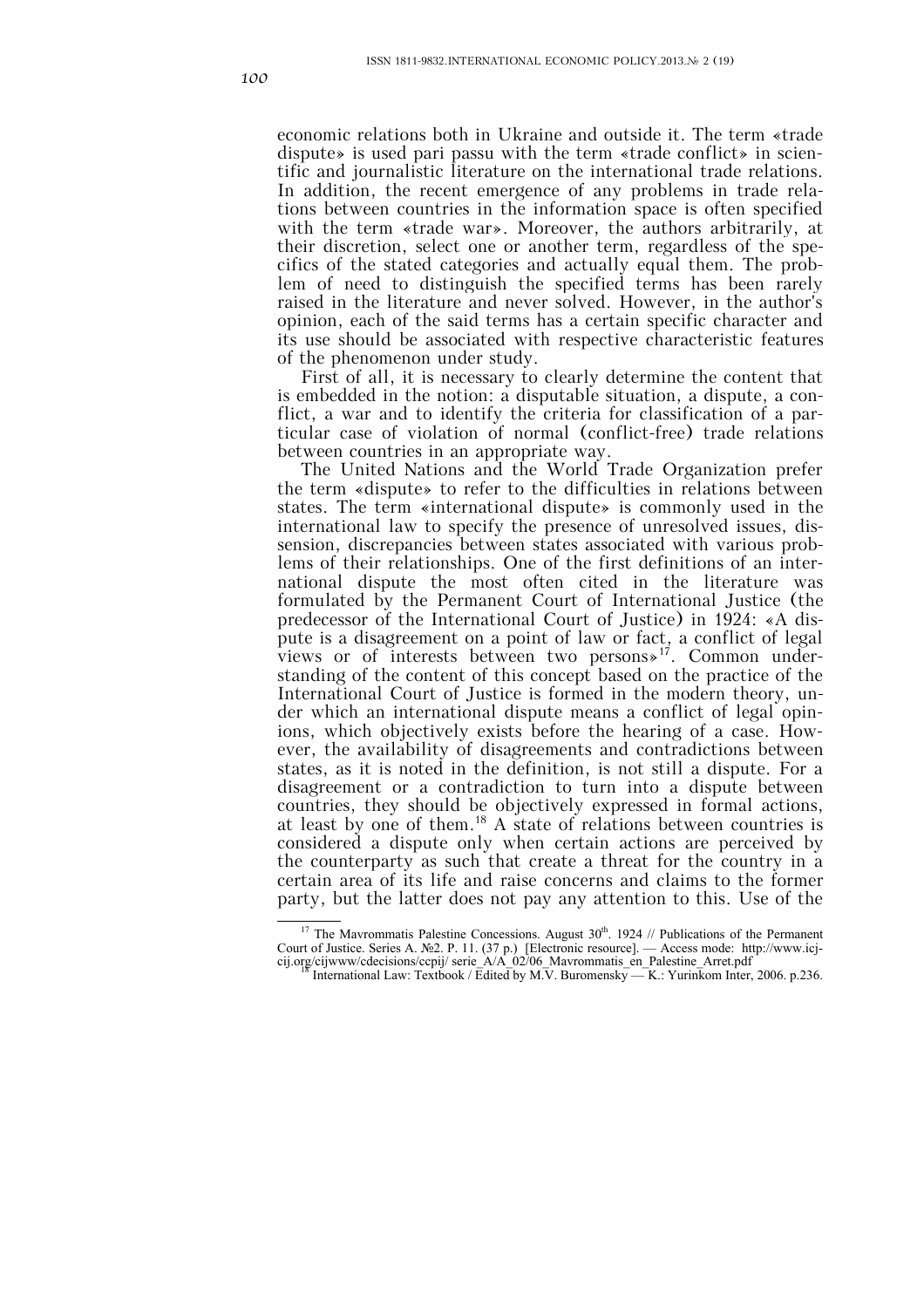economic relations both in Ukraine and outside it. The term «trade dispute» is used pari passu with the term «trade conflict» in scientific and journalistic literature on the international trade relations. In addition, the recent emergence of any problems in trade relations between countries in the information space is often specified with the term «trade war». Moreover, the authors arbitrarily, at their discretion, select one or another term, regardless of the specifics of the stated categories and actually equal them. The problem of need to distinguish the specified terms has been rarely raised in the literature and never solved. However, in the author's opinion, each of the said terms has a certain specific character and its use should be associated with respective characteristic features of the phenomenon under study.

First of all, it is necessary to clearly determine the content that is embedded in the notion: a disputable situation, a dispute, a conflict, a war and to identify the criteria for classification of a particular case of violation of normal (conflict-free) trade relations between countries in an appropriate way.

The United Nations and the World Trade Organization prefer the term «dispute» to refer to the difficulties in relations between states. The term «international dispute» is commonly used in the international law to specify the presence of unresolved issues, dissension, discrepancies between states associated with various problems of their relationships. One of the first definitions of an international dispute the most often cited in the literature was formulated by the Permanent Court of International Justice (the predecessor of the International Court of Justice) in 1924: «A dispute is a disagreement on a point of law or fact, a conflict of legal views or of interests between two persons»17. Common understanding of the content of this concept based on the practice of the International Court of Justice is formed in the modern theory, under which an international dispute means a conflict of legal opinions, which objectively exists before the hearing of a case. However, the availability of disagreements and contradictions between states, as it is noted in the definition, is not still a dispute. For a disagreement or a contradiction to turn into a dispute between countries, they should be objectively expressed in formal actions, at least by one of them.18 A state of relations between countries is considered a dispute only when certain actions are perceived by the counterparty as such that create a threat for the country in a certain area of its life and raise concerns and claims to the former party, but the latter does not pay any attention to this. Use of the

<sup>&</sup>lt;sup>17</sup> The Mavrommatis Palestine Concessions. August  $30<sup>th</sup>$ . 1924 // Publications of the Permanent Court of Justice. Series A. №2. P. 11. (37 р.) [Electronic resource]. — Access mode: http://www.icj-

cij.org/cijwww/cdecisions/ccpij/ serie\_A/A\_02/06\_Mavrommatis\_en\_Palestine\_Arret.pdf 18 International Law: Textbook / Edited by M.V. Buromensky — K.: Yurinkom Inter, 2006. p.236.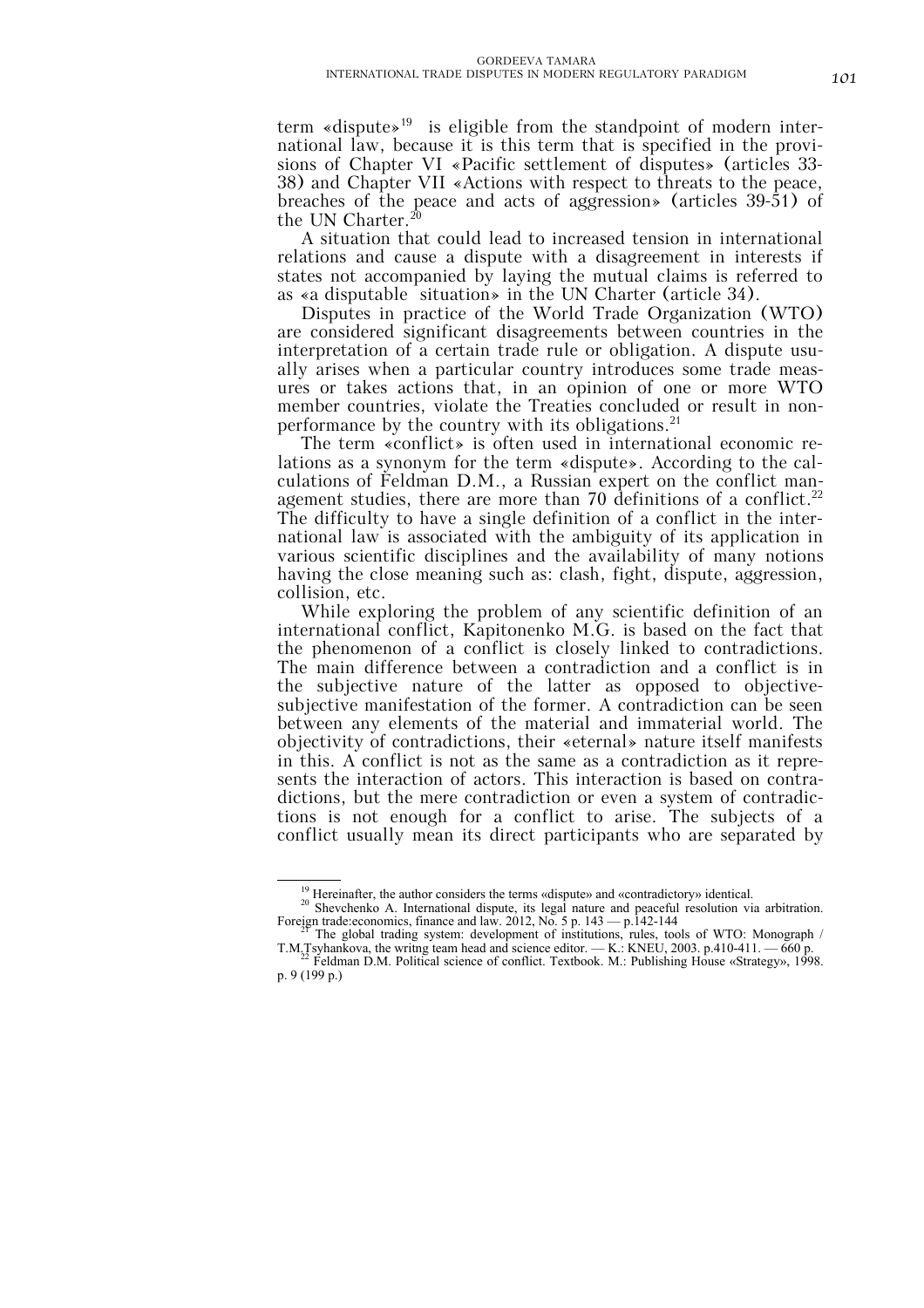term «dispute»<sup>19</sup> is eligible from the standpoint of modern international law, because it is this term that is specified in the provisions of Chapter VI «Pacific settlement of disputes» (articles 33- 38) and Chapter VII «Actions with respect to threats to the peace, breaches of the peace and acts of aggression» (articles 39-51) of the UN Charter.<sup>20</sup>

A situation that could lead to increased tension in international relations and cause a dispute with a disagreement in interests if states not accompanied by laying the mutual claims is referred to as «a disputable situation» in the UN Charter (article 34).

Disputes in practice of the World Trade Organization (WTO) are considered significant disagreements between countries in the interpretation of a certain trade rule or obligation. A dispute usually arises when a particular country introduces some trade measures or takes actions that, in an opinion of one or more WTO member countries, violate the Treaties concluded or result in nonperformance by the country with its obligations.<sup>21</sup>

The term «conflict» is often used in international economic relations as a synonym for the term «dispute». According to the calculations of Feldman D.M., a Russian expert on the conflict management studies, there are more than 70 definitions of a conflict.<sup>22</sup> The difficulty to have a single definition of a conflict in the international law is associated with the ambiguity of its application in various scientific disciplines and the availability of many notions having the close meaning such as: clash, fight, dispute, aggression, collision, etc.

While exploring the problem of any scientific definition of an international conflict, Kapitonenko M.G. is based on the fact that the phenomenon of a conflict is closely linked to contradictions. The main difference between a contradiction and a conflict is in the subjective nature of the latter as opposed to objectivesubjective manifestation of the former. A contradiction can be seen between any elements of the material and immaterial world. The objectivity of contradictions, their «eternal» nature itself manifests in this. A conflict is not as the same as a contradiction as it represents the interaction of actors. This interaction is based on contradictions, but the mere contradiction or even a system of contradictions is not enough for a conflict to arise. The subjects of a conflict usually mean its direct participants who are separated by

<sup>&</sup>lt;sup>19</sup> Hereinafter, the author considers the terms «dispute» and «contradictory» identical.<br><sup>20</sup> Shevchenko A. International dispute, its legal nature and peaceful resolution via arbitration.<br>Foreign trade: economics, finan Foreign trade:economics, finance and law. 2012, No. 5 p. 143 — p. 142-144 <sup>21</sup> The global trading system: development of institutions, rules, tools of WTO: Monograph /

T.M.Tsyhankova, the writng team head and science editor. — K.: KNEU, 2003. p.410-411. — 660 p. 22 Feldman D.M. Political science of conflict. Textbook. M.: Publishing House «Strategy», 1998.

p. 9 (199 p.)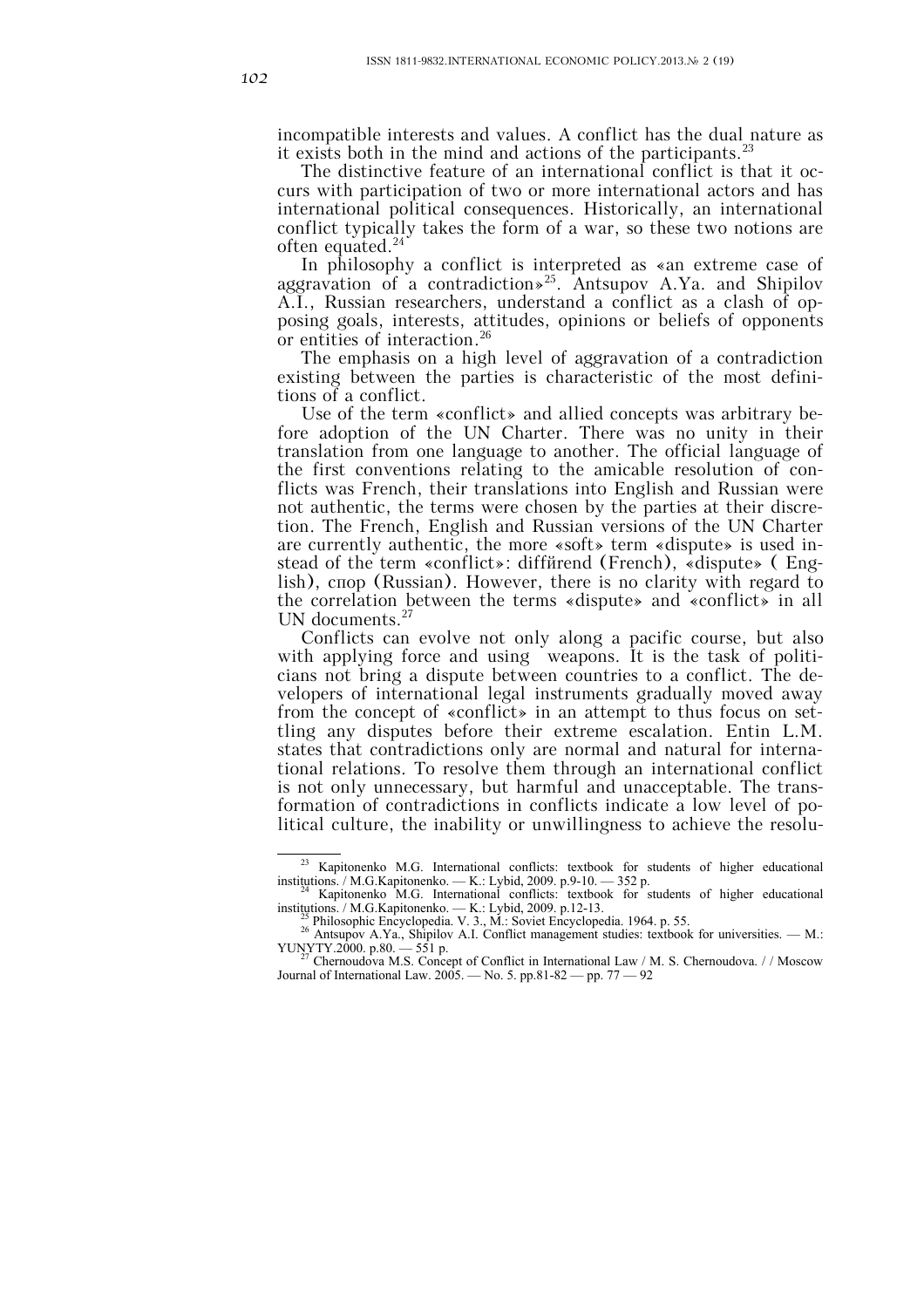incompatible interests and values. A conflict has the dual nature as it exists both in the mind and actions of the participants.  $23$ 

The distinctive feature of an international conflict is that it occurs with participation of two or more international actors and has international political consequences. Historically, an international conflict typically takes the form of a war, so these two notions are often equated.<sup>24</sup>

In philosophy a conflict is interpreted as «an extreme case of aggravation of a contradiction»<sup>25</sup>. Antsupov A.Ya. and Shipilov A.I., Russian researchers, understand a conflict as a clash of opposing goals, interests, attitudes, opinions or beliefs of opponents or entities of interaction. 26

The emphasis on a high level of aggravation of a contradiction existing between the parties is characteristic of the most definitions of a conflict.

Use of the term «conflict» and allied concepts was arbitrary before adoption of the UN Charter. There was no unity in their translation from one language to another. The official language of the first conventions relating to the amicable resolution of conflicts was French, their translations into English and Russian were not authentic, the terms were chosen by the parties at their discretion. The French, English and Russian versions of the UN Charter are currently authentic, the more «soft» term «dispute» is used instead of the term «conflict»: diffйrend (French), «dispute» ( English), спор (Russian). However, there is no clarity with regard to the correlation between the terms «dispute» and «conflict» in all UN documents.<sup>27</sup>

Conflicts can evolve not only along a pacific course, but also with applying force and using weapons. It is the task of politicians not bring a dispute between countries to a conflict. The developers of international legal instruments gradually moved away from the concept of «conflict» in an attempt to thus focus on settling any disputes before their extreme escalation. Entin L.M. states that contradictions only are normal and natural for international relations. To resolve them through an international conflict is not only unnecessary, but harmful and unacceptable. The transformation of contradictions in conflicts indicate a low level of political culture, the inability or unwillingness to achieve the resolu-

 $\overline{\hspace{1cm}}^{23}$  Kapitonenko M.G. International conflicts: textbook for students of higher educational institutions. / M.G.Kapitonenko. — K.: Lybid, 2009. p.9-10. — 352 p.<br><sup>24</sup> Kapitonenko M.G. International conflicts: textbook for students of higher educational

Examplement PH.O. International contricts. textbook for students of higher educational<br>institutions. / M.G.Kapitonenko. — K.: Lybid, 2009. p.12-13.<br><sup>25</sup> Philosophic Encyclopedia. V. 3., M.: Soviet Encyclopedia. 1964. p. 55

YUNTY.2000. p.081. Strip.<br>Chernoudova M.S. Concept of Conflict in International Law / M. S. Chernoudova. // Moscow Journal of International Law. 2005. — No. 5. pp.81-82 — pp. 77 — 92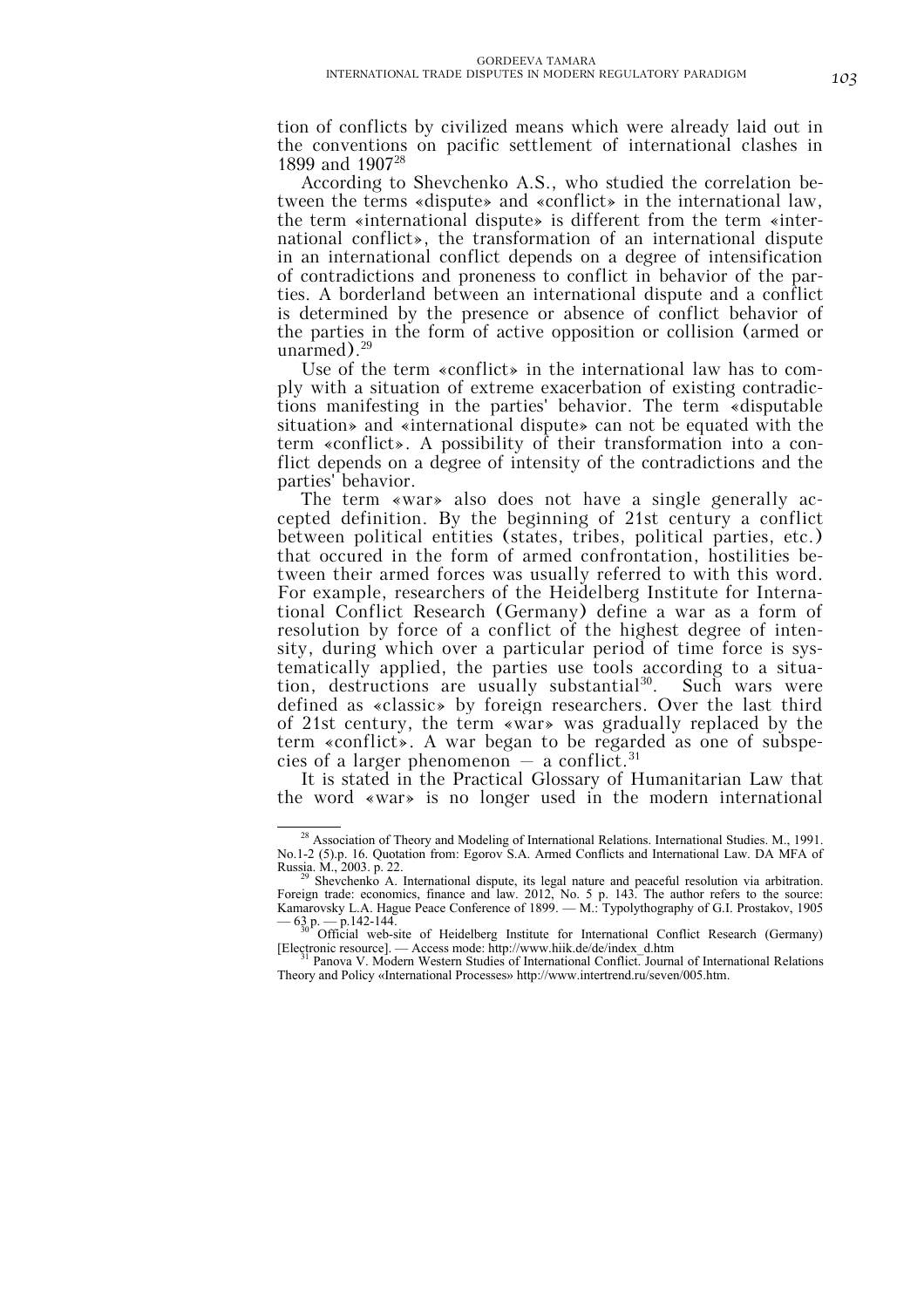tion of conflicts by civilized means which were already laid out in the conventions on pacific settlement of international clashes in 1899 and 190728

According to Shevchenko A.S., who studied the correlation between the terms «dispute» and «conflict» in the international law, the term «international dispute» is different from the term «international conflict», the transformation of an international dispute in an international conflict depends on a degree of intensification of contradictions and proneness to conflict in behavior of the parties. A borderland between an international dispute and a conflict is determined by the presence or absence of conflict behavior of the parties in the form of active opposition or collision (armed or unarmed $)^{29}$ 

Use of the term «conflict» in the international law has to comply with a situation of extreme exacerbation of existing contradictions manifesting in the parties' behavior. The term «disputable situation» and «international dispute» can not be equated with the term «conflict». A possibility of their transformation into a conflict depends on a degree of intensity of the contradictions and the parties' behavior.

The term «war» also does not have a single generally accepted definition. By the beginning of 21st century a conflict between political entities (states, tribes, political parties, etc.) that occured in the form of armed confrontation, hostilities between their armed forces was usually referred to with this word. For example, researchers of the Heidelberg Institute for International Conflict Research (Germany) define a war as a form of resolution by force of a conflict of the highest degree of intensity, during which over a particular period of time force is systematically applied, the parties use tools according to a situation, destructions are usually substantial<sup>30</sup>. Such wars were defined as «classic» by foreign researchers. Over the last third of 21st century, the term «war» was gradually replaced by the term «conflict». A war began to be regarded as one of subspecies of a larger phenomenon  $-$  a conflict.<sup>31</sup>

It is stated in the Practical Glossary of Humanitarian Law that the word «war» is no longer used in the modern international

<sup>&</sup>lt;sup>28</sup> Association of Theory and Modeling of International Relations. International Studies. M., 1991. No.1-2 (5).p. 16. Quotation from: Egorov S.A. Armed Conflicts and International Law. DA MFA of Russia. M., 2003. p. 22. Russia. M., 2003. p. 22.<br><sup>29</sup> Shevchenko A. International dispute, its legal nature and peaceful resolution via arbitration.

Foreign trade: economics, finance and law. 2012, No. 5 p. 143. The author refers to the source: Kamarovsky L.A. Hague Peace Conference of 1899. — M.: Typolythography of G.I. Prostakov, 1905

<sup>— 63</sup> p. — p.142-144.<br><sup>30</sup> Official web-site of Heidelberg Institute for International Conflict Research (Germany)<br>[Electronic resource] — Access mode: http://www.hiik.de/de/index\_d.htm

Panova V. Modern Western Studies of International Conflict. Journal of International Relations Theory and Policy «International Processes» http://www.intertrend.ru/sеven/005.htm.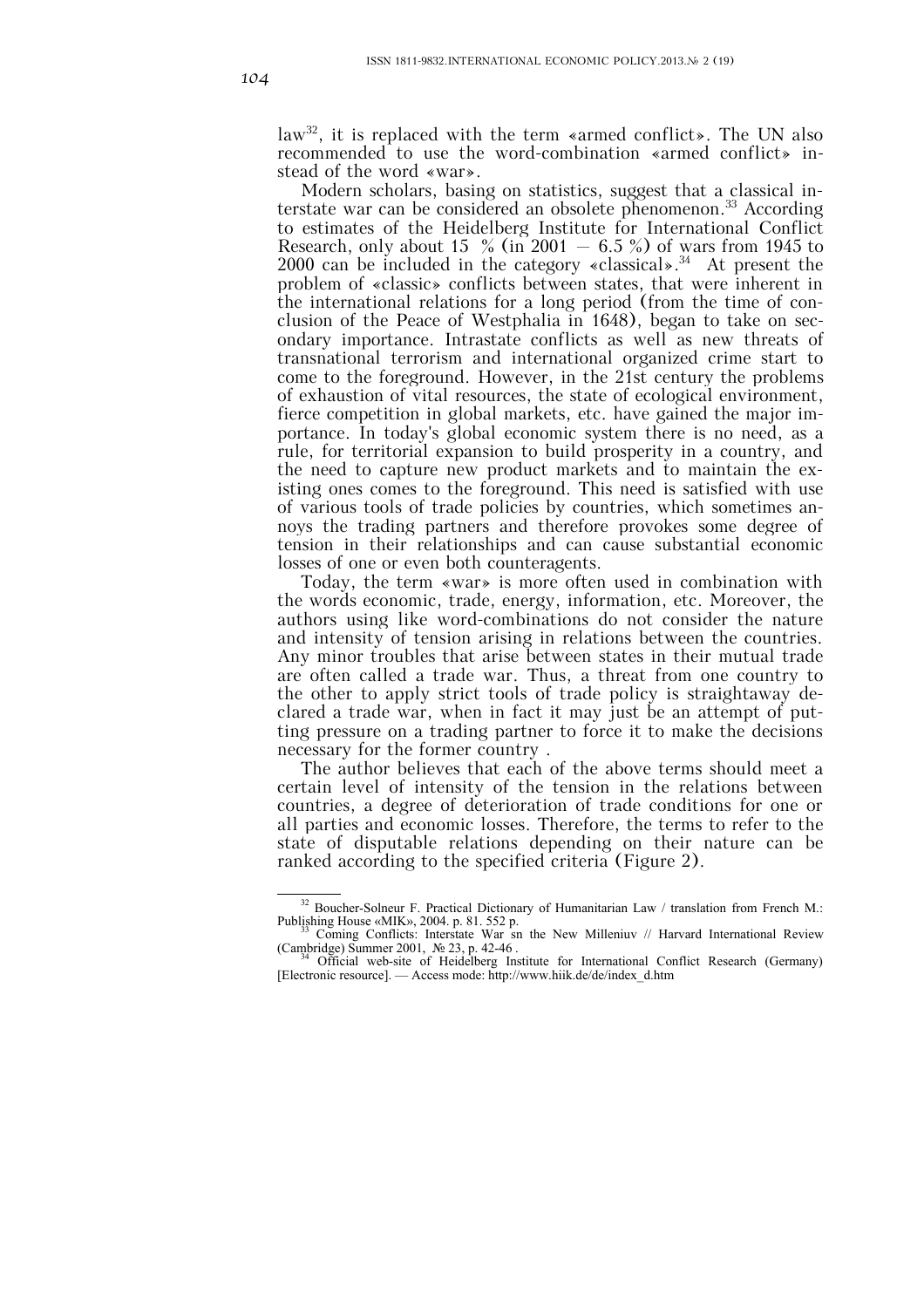law<sup>32</sup>, it is replaced with the term «armed conflict». The UN also recommended to use the word-combination «armed conflict» instead of the word «war».

Modern scholars, basing on statistics, suggest that a classical interstate war can be considered an obsolete phenomenon.<sup>33</sup> According to estimates of the Heidelberg Institute for International Conflict Research, only about 15  $\%$  (in 2001 – 6.5 %) of wars from 1945 to 2000 can be included in the category «classical».<sup>34</sup> At present the problem of «classic» conflicts between states, that were inherent in the international relations for a long period (from the time of conclusion of the Peace of Westphalia in 1648), began to take on secondary importance. Intrastate conflicts as well as new threats of transnational terrorism and international organized crime start to come to the foreground. However, in the 21st century the problems of exhaustion of vital resources, the state of ecological environment, fierce competition in global markets, etc. have gained the major importance. In today's global economic system there is no need, as a rule, for territorial expansion to build prosperity in a country, and the need to capture new product markets and to maintain the existing ones comes to the foreground. This need is satisfied with use of various tools of trade policies by countries, which sometimes annoys the trading partners and therefore provokes some degree of tension in their relationships and can cause substantial economic losses of one or even both counteragents.

Today, the term «war» is more often used in combination with the words economic, trade, energy, information, etc. Moreover, the authors using like word-combinations do not consider the nature and intensity of tension arising in relations between the countries. Any minor troubles that arise between states in their mutual trade are often called a trade war. Thus, a threat from one country to the other to apply strict tools of trade policy is straightaway declared a trade war, when in fact it may just be an attempt of putting pressure on a trading partner to force it to make the decisions necessary for the former country .

The author believes that each of the above terms should meet a certain level of intensity of the tension in the relations between countries, a degree of deterioration of trade conditions for one or all parties and economic losses. Therefore, the terms to refer to the state of disputable relations depending on their nature can be ranked according to the specified criteria (Figure 2).

<sup>&</sup>lt;sup>32</sup> Boucher-Solneur F. Practical Dictionary of Humanitarian Law / translation from French M.: Publishing House «MIK», 2004. p. 81. 552 p.

<sup>&</sup>lt;sup>33</sup> Coming Conflicts: Interstate War sn the New Milleniuv // Harvard International Review (Cambridge) Summer 2001,  $N \ge 23$ , p. 42-46.

Official web-site of Heidelberg Institute for International Conflict Research (Germany) [Electronic resource]. — Access mode: http://www.hiik.de/de/index\_d.htm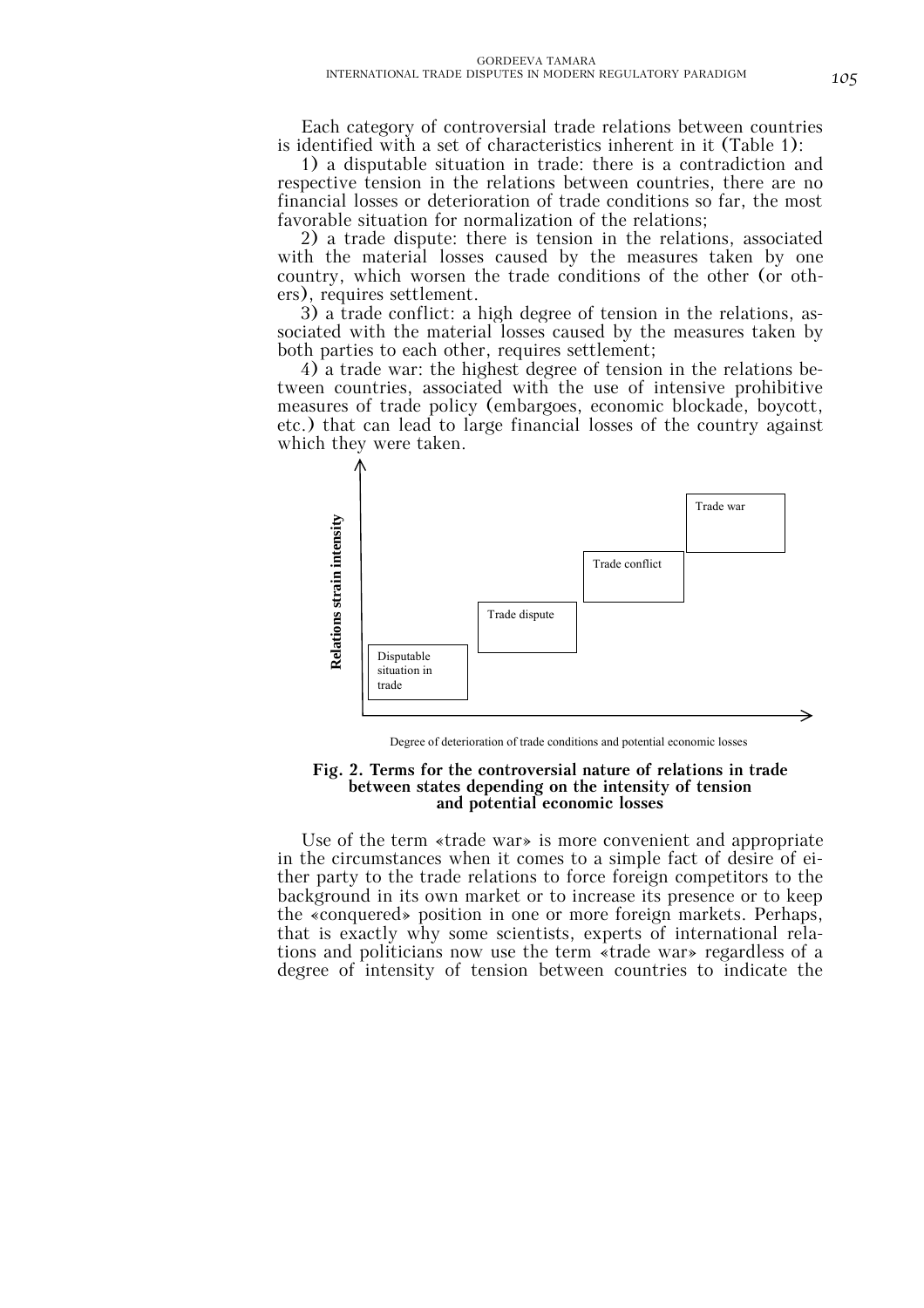Each category of controversial trade relations between countries is identified with a set of characteristics inherent in it (Table 1):

1) a disputable situation in trade: there is a contradiction and respective tension in the relations between countries, there are no financial losses or deterioration of trade conditions so far, the most favorable situation for normalization of the relations;

2) a trade dispute: there is tension in the relations, associated with the material losses caused by the measures taken by one country, which worsen the trade conditions of the other (or others), requires settlement.

3) a trade conflict: a high degree of tension in the relations, associated with the material losses caused by the measures taken by both parties to each other, requires settlement;

4) a trade war: the highest degree of tension in the relations between countries, associated with the use of intensive prohibitive measures of trade policy (embargoes, economic blockade, boycott, etc.) that can lead to large financial losses of the country against which they were taken.



Degree of deterioration of trade conditions and potential economic losses

#### **Fig. 2. Terms for the controversial nature of relations in trade between states depending on the intensity of tension and potential economic losses**

Use of the term «trade war» is more convenient and appropriate in the circumstances when it comes to a simple fact of desire of either party to the trade relations to force foreign competitors to the background in its own market or to increase its presence or to keep the «conquered» position in one or more foreign markets. Perhaps, that is exactly why some scientists, experts of international relations and politicians now use the term «trade war» regardless of a degree of intensity of tension between countries to indicate the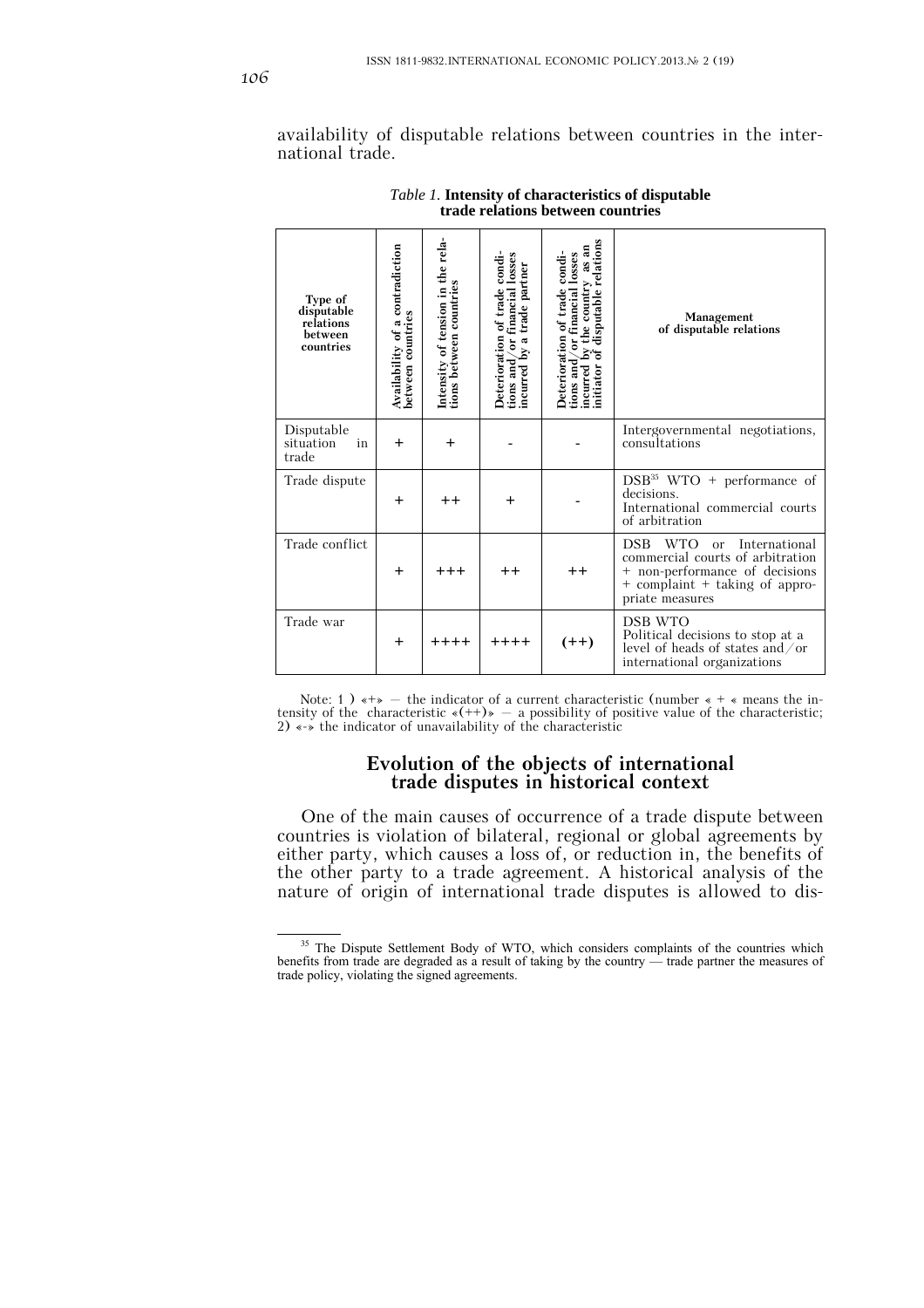availability of disputable relations between countries in the international trade.

| Type of<br>disputable<br>relations<br>between<br>countries | contradiction<br>Availability of a c<br>between countries | Intensity of tension in the rela-<br>tions between countries | condi-<br>or financial losses<br>tions and/or financial loss<br>incurred by a trade partner<br>of trade<br>Deterioration | disputable relations<br>as an<br>condi-<br>losses<br>the country<br>Financial<br>Deterioration of trade<br>ă<br>incurred by t<br>initiator of d<br>tions and | Management<br>of disputable relations                                                                                                                                            |
|------------------------------------------------------------|-----------------------------------------------------------|--------------------------------------------------------------|--------------------------------------------------------------------------------------------------------------------------|--------------------------------------------------------------------------------------------------------------------------------------------------------------|----------------------------------------------------------------------------------------------------------------------------------------------------------------------------------|
| Disputable<br>situation<br>in<br>trade                     | $\ddot{}$                                                 | $\div$                                                       |                                                                                                                          |                                                                                                                                                              | Intergovernmental negotiations,<br>consultations                                                                                                                                 |
| Trade dispute                                              | $\ddot{}$                                                 | $+ +$                                                        | $\ddot{}$                                                                                                                |                                                                                                                                                              | $DSB35$ WTO + performance of<br>decisions.<br>International commercial courts<br>of arbitration                                                                                  |
| Trade conflict                                             | $\ddot{}$                                                 | $^{+++}$                                                     | $^{\mathrm{+}}$                                                                                                          | $++$                                                                                                                                                         | <b>DSB</b><br><b>WTO</b><br>International<br>$\alpha$<br>commercial courts of arbitration<br>+ non-performance of decisions<br>+ complaint + taking of appro-<br>priate measures |
| Trade war                                                  | $\ddot{}$                                                 | $++++$                                                       | $++++$                                                                                                                   | $(++)$                                                                                                                                                       | DSB WTO<br>Political decisions to stop at a<br>level of heads of states and $\sigma$<br>international organizations                                                              |

*Table 1.* **Intensity of characteristics of disputable trade relations between countries**

Note: 1 )  $\leftrightarrow$  - the indicator of a current characteristic (number  $\ast$  +  $\ast$  means the intensity of the characteristic  $\ast$  (++) $\ast$  - a possibility of positive value of the characteristic; 2) «-» the indicator of unavailability of the characteristic

# **Evolution of the objects of international trade disputes in historical context**

One of the main causes of occurrence of a trade dispute between countries is violation of bilateral, regional or global agreements by either party, which causes a loss of, or reduction in, the benefits of the other party to a trade agreement. A historical analysis of the nature of origin of international trade disputes is allowed to dis-

<sup>&</sup>lt;sup>35</sup> The Dispute Settlement Body of WTO, which considers complaints of the countries which benefits from trade are degraded as a result of taking by the country — trade partner the measures of trade policy, violating the signed agreements.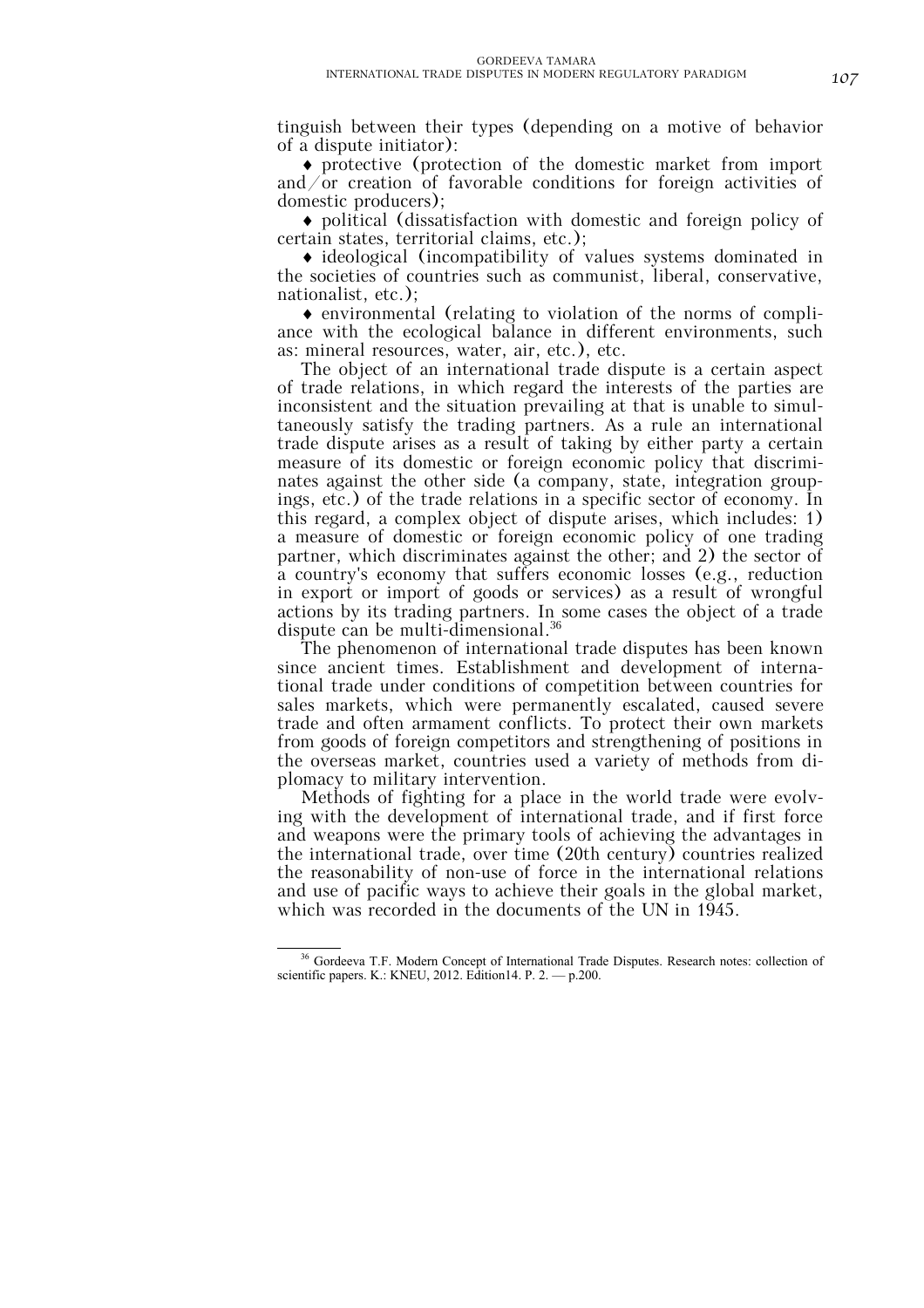tinguish between their types (depending on a motive of behavior of a dispute initiator):

♦ protective (protection of the domestic market from import and/or creation of favorable conditions for foreign activities of domestic producers);

♦ political (dissatisfaction with domestic and foreign policy of certain states, territorial claims, etc.);

♦ ideological (incompatibility of values systems dominated in the societies of countries such as communist, liberal, conservative, nationalist, etc.);

♦ environmental (relating to violation of the norms of compliance with the ecological balance in different environments, such as: mineral resources, water, air, etc.), etc.

The object of an international trade dispute is a certain aspect of trade relations, in which regard the interests of the parties are inconsistent and the situation prevailing at that is unable to simultaneously satisfy the trading partners. As a rule an international trade dispute arises as a result of taking by either party a certain measure of its domestic or foreign economic policy that discriminates against the other side (a company, state, integration groupings, etc.) of the trade relations in a specific sector of economy. In this regard, a complex object of dispute arises, which includes: 1) a measure of domestic or foreign economic policy of one trading partner, which discriminates against the other; and 2) the sector of a country's economy that suffers economic losses (e.g., reduction in export or import of goods or services) as a result of wrongful actions by its trading partners. In some cases the object of a trade dispute can be multi-dimensional.<sup>36</sup>

The phenomenon of international trade disputes has been known since ancient times. Establishment and development of international trade under conditions of competition between countries for sales markets, which were permanently escalated, caused severe trade and often armament conflicts. To protect their own markets from goods of foreign competitors and strengthening of positions in the overseas market, countries used a variety of methods from diplomacy to military intervention.

Methods of fighting for a place in the world trade were evolving with the development of international trade, and if first force and weapons were the primary tools of achieving the advantages in the international trade, over time (20th century) countries realized the reasonability of non-use of force in the international relations and use of pacific ways to achieve their goals in the global market, which was recorded in the documents of the UN in 1945.

<sup>&</sup>lt;sup>36</sup> Gordeeva T.F. Modern Concept of International Trade Disputes. Research notes: collection of scientific papers. K.: KNEU, 2012. Edition14. P. 2. — p.200.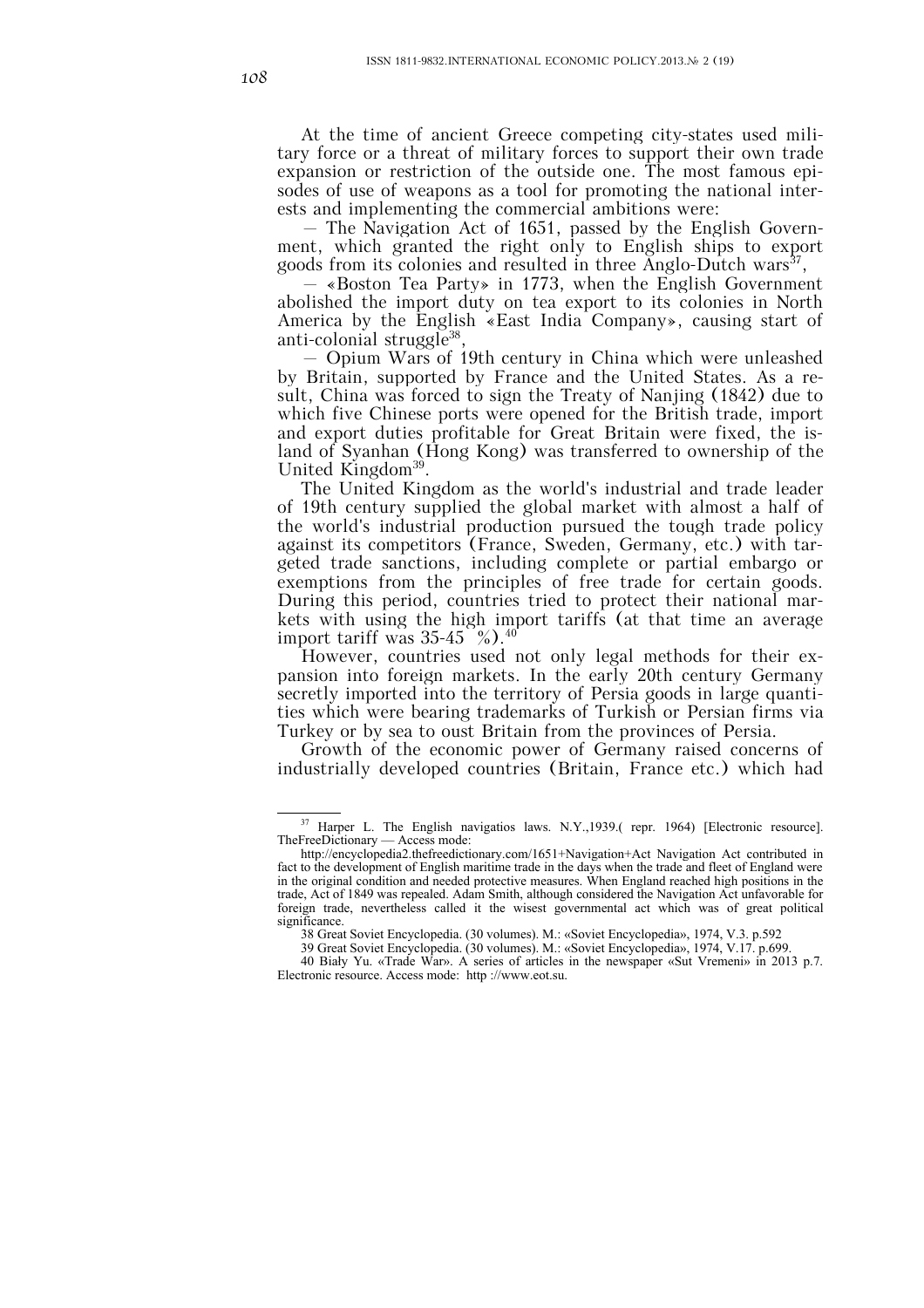At the time of ancient Greece competing city-states used military force or a threat of military forces to support their own trade expansion or restriction of the outside one. The most famous episodes of use of weapons as a tool for promoting the national interests and implementing the commercial ambitions were:

– The Navigation Act of 1651, passed by the English Government, which granted the right only to English ships to export goods from its colonies and resulted in three Anglo-Dutch wars<sup>37</sup>,

– «Boston Tea Party» in 1773, when the English Government abolished the import duty on tea export to its colonies in North America by the English «East India Company», causing start of anti-colonial struggle<sup>38</sup>

– Opium Wars of 19th century in China which were unleashed by Britain, supported by France and the United States. As a result, China was forced to sign the Treaty of Nanjing (1842) due to which five Chinese ports were opened for the British trade, import and export duties profitable for Great Britain were fixed, the island of Syanhan (Hong Kong) was transferred to ownership of the United Kingdom<sup>39</sup>.

The United Kingdom as the world's industrial and trade leader of 19th century supplied the global market with almost a half of the world's industrial production pursued the tough trade policy against its competitors (France, Sweden, Germany, etc.) with targeted trade sanctions, including complete or partial embargo or exemptions from the principles of free trade for certain goods. During this period, countries tried to protect their national markets with using the high import tariffs (at that time an average import tariff was  $35-45\degree\%$ ).<sup>40</sup>

However, countries used not only legal methods for their expansion into foreign markets. In the early 20th century Germany secretly imported into the territory of Persia goods in large quantities which were bearing trademarks of Turkish or Persian firms via Turkey or by sea to oust Britain from the provinces of Persia.

Growth of the economic power of Germany raised concerns of industrially developed countries (Britain, France etc.) which had

<sup>&</sup>lt;sup>37</sup> Harper L. The English navigatios laws. N.Y.,1939.( repr. 1964) [Electronic resource]. TheFreeDictionary — Access mode:

http://encyclopedia2.thefreedictionary.com/1651+Navigation+Act Navigation Act contributed in fact to the development of English maritime trade in the days when the trade and fleet of England were in the original condition and needed protective measures. When England reached high positions in the trade, Act of 1849 was repealed. Adam Smith, although considered the Navigation Act unfavorable for foreign trade, nevertheless called it the wisest governmental act which was of great political significance.

<sup>38</sup> Great Soviet Encyclopedia. (30 volumes). M.: «Soviet Encyclopedia», 1974, V.3. p.592

<sup>39</sup> Great Soviet Encyclopedia. (30 volumes). M.: «Soviet Encyclopedia», 1974, V.17. p.699. 40 Biały Yu. «Trade War». A series of articles in the newspaper «Sut Vremeni» in 2013 p.7. Electronic resource. Access mode: http ://www.eot.su.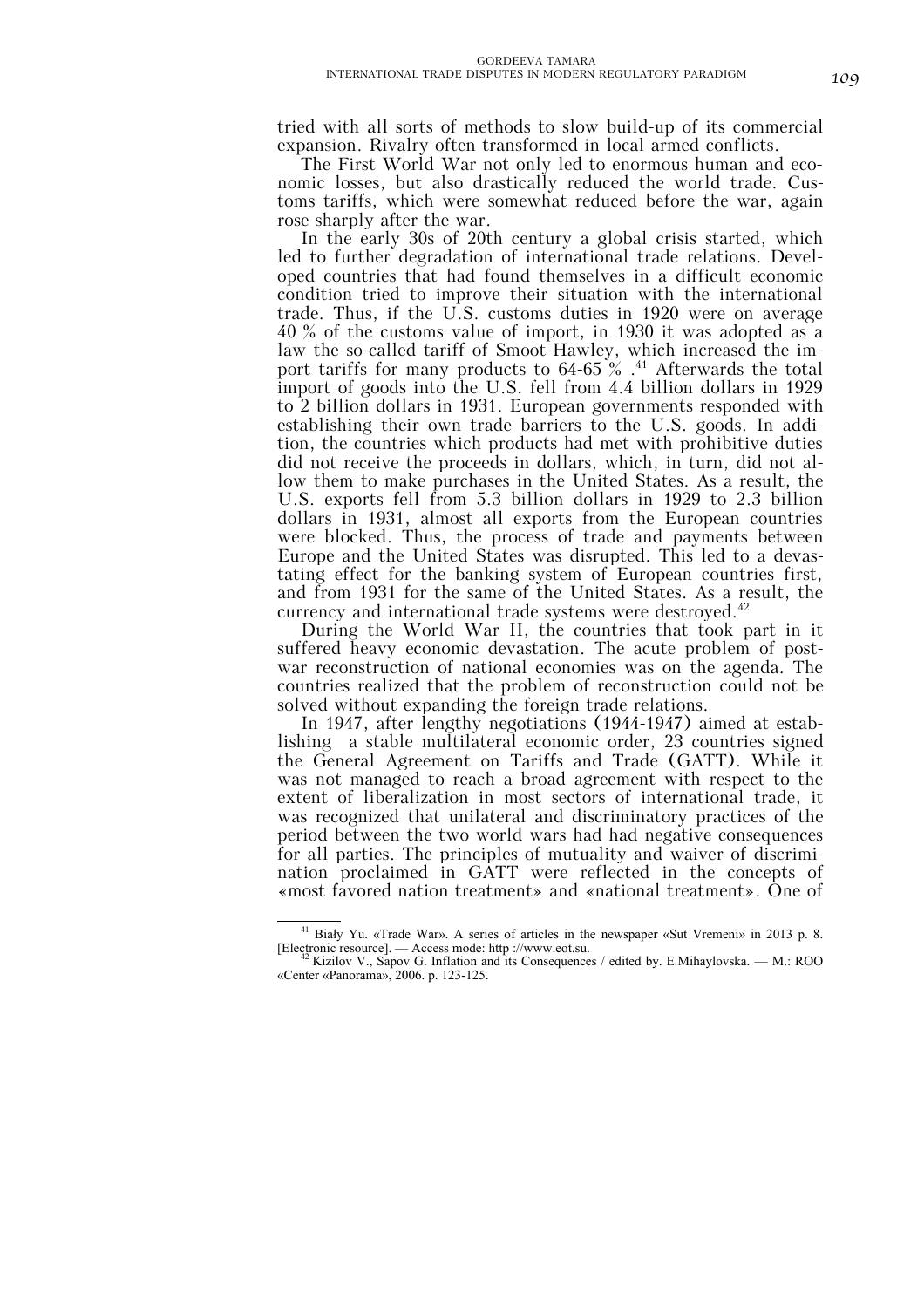tried with all sorts of methods to slow build-up of its commercial expansion. Rivalry often transformed in local armed conflicts.

The First World War not only led to enormous human and economic losses, but also drastically reduced the world trade. Customs tariffs, which were somewhat reduced before the war, again rose sharply after the war.

In the early 30s of 20th century a global crisis started, which led to further degradation of international trade relations. Developed countries that had found themselves in a difficult economic condition tried to improve their situation with the international trade. Thus, if the U.S. customs duties in 1920 were on average 40 % of the customs value of import, in 1930 it was adopted as a law the so-called tariff of Smoot-Hawley, which increased the import tariffs for many products to  $64-65\%$ .<sup>41</sup> Afterwards the total import of goods into the U.S. fell from 4.4 billion dollars in 1929 to 2 billion dollars in 1931. European governments responded with establishing their own trade barriers to the U.S. goods. In addition, the countries which products had met with prohibitive duties did not receive the proceeds in dollars, which, in turn, did not allow them to make purchases in the United States. As a result, the U.S. exports fell from 5.3 billion dollars in 1929 to 2.3 billion dollars in 1931, almost all exports from the European countries were blocked. Thus, the process of trade and payments between Europe and the United States was disrupted. This led to a devastating effect for the banking system of European countries first, and from 1931 for the same of the United States. As a result, the currency and international trade systems were destroyed.<sup>42</sup>

During the World War II, the countries that took part in it suffered heavy economic devastation. The acute problem of postwar reconstruction of national economies was on the agenda. The countries realized that the problem of reconstruction could not be solved without expanding the foreign trade relations.

In 1947, after lengthy negotiations (1944-1947) aimed at establishing a stable multilateral economic order, 23 countries signed the General Agreement on Tariffs and Trade (GATT). While it was not managed to reach a broad agreement with respect to the extent of liberalization in most sectors of international trade, it was recognized that unilateral and discriminatory practices of the period between the two world wars had had negative consequences for all parties. The principles of mutuality and waiver of discrimination proclaimed in GATT were reflected in the concepts of «most favored nation treatment» and «national treatment». One of

 <sup>41</sup> Biały Yu. «Trade War». A series of articles in the newspaper «Sut Vremeni» in 2013 p. 8. [Electronic resource]. — Access mode: http ://www.eot.su. 42 Kizilov V., Sapov G. Inflation and its Consequences / edited by. E.Mihaylovska. — M.: ROO

<sup>«</sup>Center «Panorama», 2006. p. 123-125.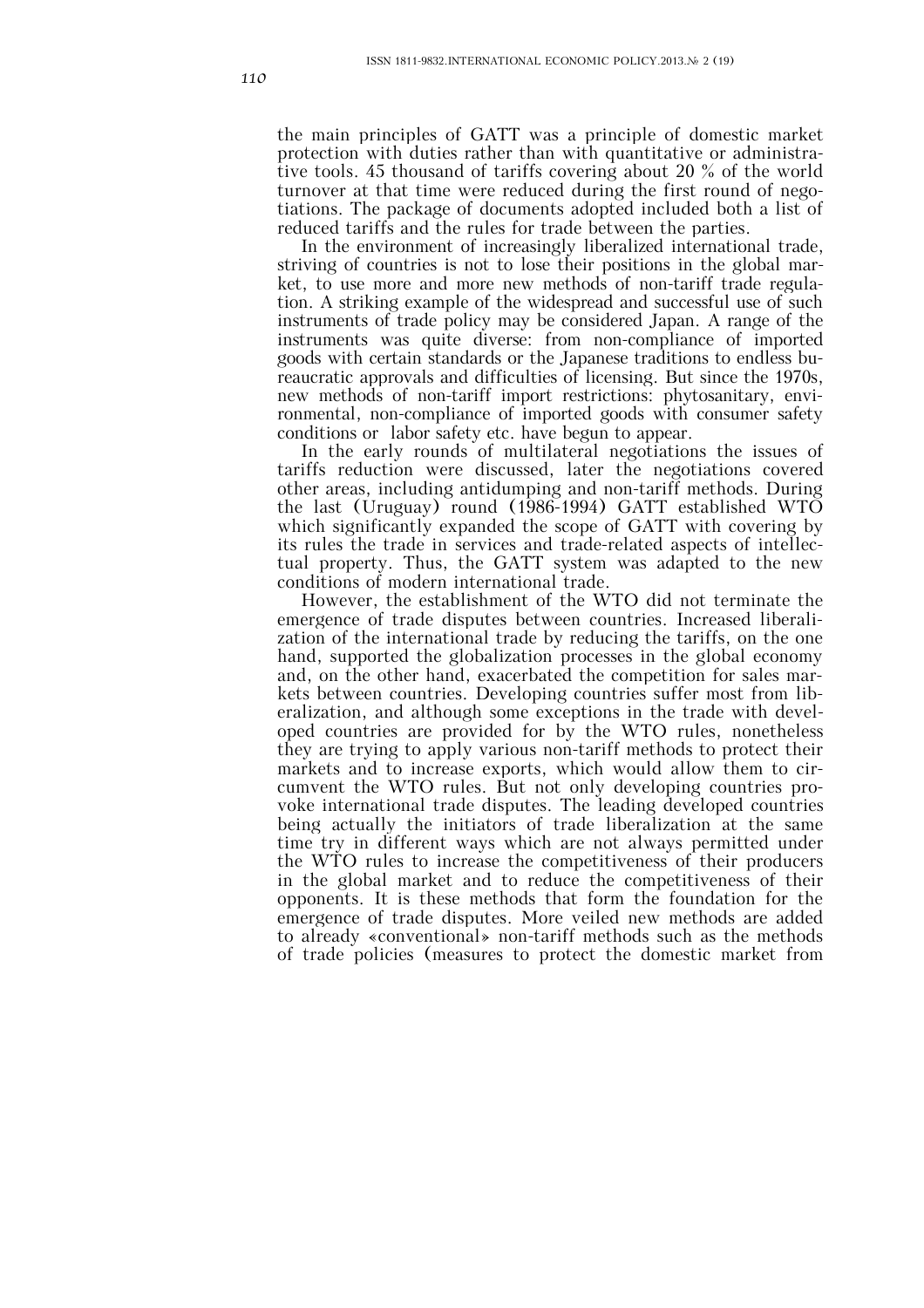the main principles of GATT was a principle of domestic market protection with duties rather than with quantitative or administrative tools. 45 thousand of tariffs covering about 20 % of the world turnover at that time were reduced during the first round of negotiations. The package of documents adopted included both a list of reduced tariffs and the rules for trade between the parties.

In the environment of increasingly liberalized international trade, striving of countries is not to lose their positions in the global market, to use more and more new methods of non-tariff trade regulation. A striking example of the widespread and successful use of such instruments of trade policy may be considered Japan. A range of the instruments was quite diverse: from non-compliance of imported goods with certain standards or the Japanese traditions to endless bureaucratic approvals and difficulties of licensing. But since the 1970s, new methods of non-tariff import restrictions: phytosanitary, environmental, non-compliance of imported goods with consumer safety conditions or labor safety etc. have begun to appear.

In the early rounds of multilateral negotiations the issues of tariffs reduction were discussed, later the negotiations covered other areas, including antidumping and non-tariff methods. During the last (Uruguay) round (1986-1994) GATT established WTO which significantly expanded the scope of GATT with covering by its rules the trade in services and trade-related aspects of intellectual property. Thus, the GATT system was adapted to the new conditions of modern international trade.

However, the establishment of the WTO did not terminate the emergence of trade disputes between countries. Increased liberalization of the international trade by reducing the tariffs, on the one hand, supported the globalization processes in the global economy and, on the other hand, exacerbated the competition for sales markets between countries. Developing countries suffer most from liberalization, and although some exceptions in the trade with developed countries are provided for by the WTO rules, nonetheless they are trying to apply various non-tariff methods to protect their markets and to increase exports, which would allow them to circumvent the WTO rules. But not only developing countries provoke international trade disputes. The leading developed countries being actually the initiators of trade liberalization at the same time try in different ways which are not always permitted under the WTO rules to increase the competitiveness of their producers in the global market and to reduce the competitiveness of their opponents. It is these methods that form the foundation for the emergence of trade disputes. More veiled new methods are added to already «conventional» non-tariff methods such as the methods of trade policies (measures to protect the domestic market from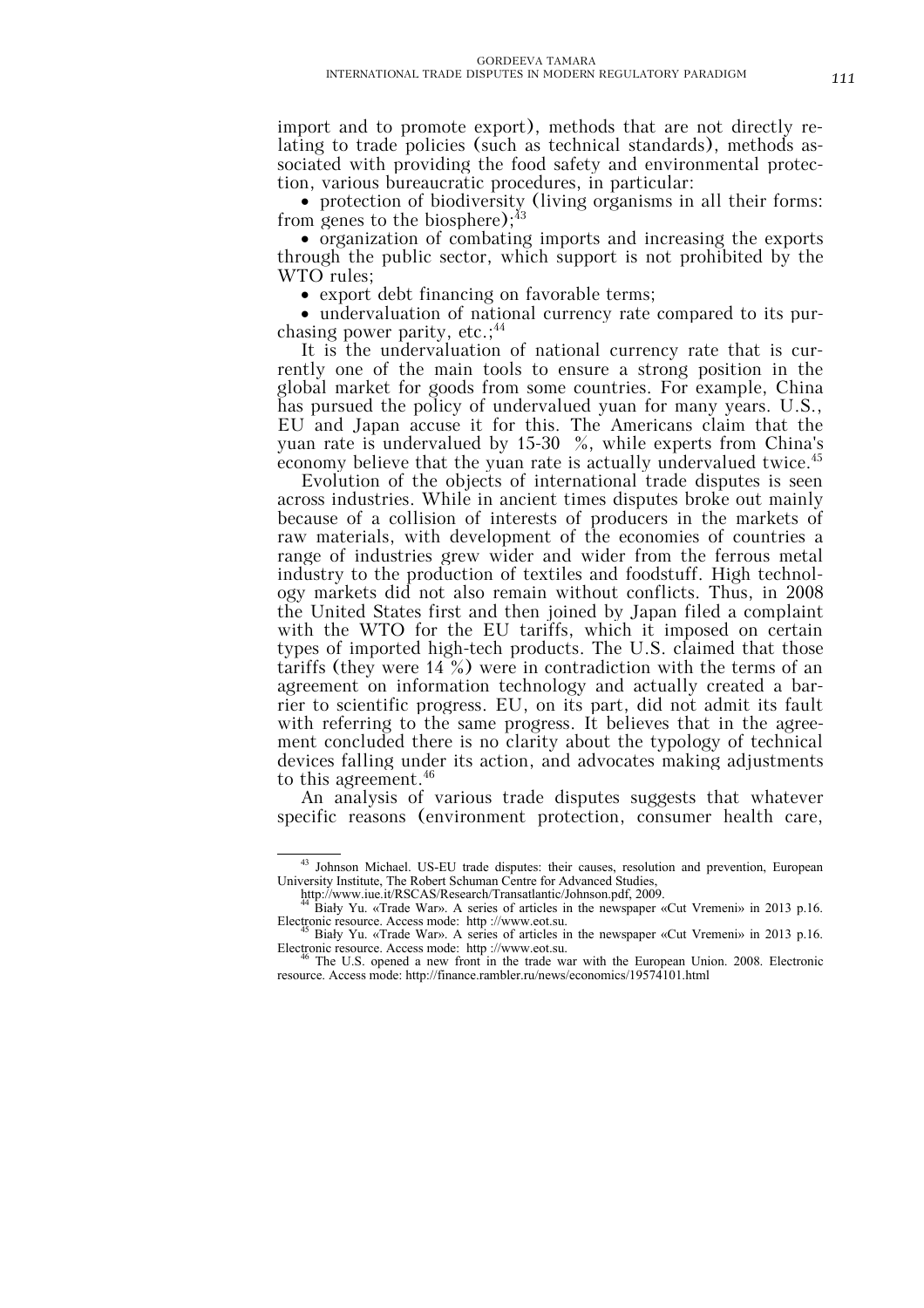import and to promote export), methods that are not directly relating to trade policies (such as technical standards), methods associated with providing the food safety and environmental protection, various bureaucratic procedures, in particular:

• protection of biodiversity (living organisms in all their forms: from genes to the biosphere); $^{43}$ 

• organization of combating imports and increasing the exports through the public sector, which support is not prohibited by the WTO rules;

• export debt financing on favorable terms;

• undervaluation of national currency rate compared to its purchasing power parity, etc.;<sup>44</sup>

It is the undervaluation of national currency rate that is currently one of the main tools to ensure a strong position in the global market for goods from some countries. For example, China has pursued the policy of undervalued yuan for many years. U.S., EU and Japan accuse it for this. The Americans claim that the yuan rate is undervalued by 15-30 %, while experts from China's economy believe that the yuan rate is actually undervalued twice.<sup>45</sup>

Evolution of the objects of international trade disputes is seen across industries. While in ancient times disputes broke out mainly because of a collision of interests of producers in the markets of raw materials, with development of the economies of countries a range of industries grew wider and wider from the ferrous metal industry to the production of textiles and foodstuff. High technology markets did not also remain without conflicts. Thus, in 2008 the United States first and then joined by Japan filed a complaint with the WTO for the EU tariffs, which it imposed on certain types of imported high-tech products. The U.S. claimed that those tariffs (they were 14 %) were in contradiction with the terms of an agreement on information technology and actually created a barrier to scientific progress. EU, on its part, did not admit its fault with referring to the same progress. It believes that in the agreement concluded there is no clarity about the typology of technical devices falling under its action, and advocates making adjustments to this agreement.<sup>46</sup>

An analysis of various trade disputes suggests that whatever specific reasons (environment protection, consumer health care,

 <sup>43</sup> Johnson Michael. US-EU trade disputes: their causes, resolution and prevention, European University Institute, The Robert Schuman Centre for Advanced Studies,

http://www.iue.it/RSCAS/Research/Transatlantic/Johnson.pdf, 2009.

<sup>&</sup>lt;sup>44</sup> Biały Yu. «Trade War». A series of articles in the newspaper «Cut Vremeni» in 2013 p.16.<br>Electronic resource. Access mode: http://www.eot.su.

Biały Yu. «Trade War». A series of articles in the newspaper «Cut Vremeni» in 2013 p.16. Electronic resource. Access mode: http://www.eot.su.<br><sup>46</sup> The U.S. opened a new front in the trade war with the European Union. 2008. Electronic

resource. Access mode: http://finance.rambler.ru/news/economics/19574101.html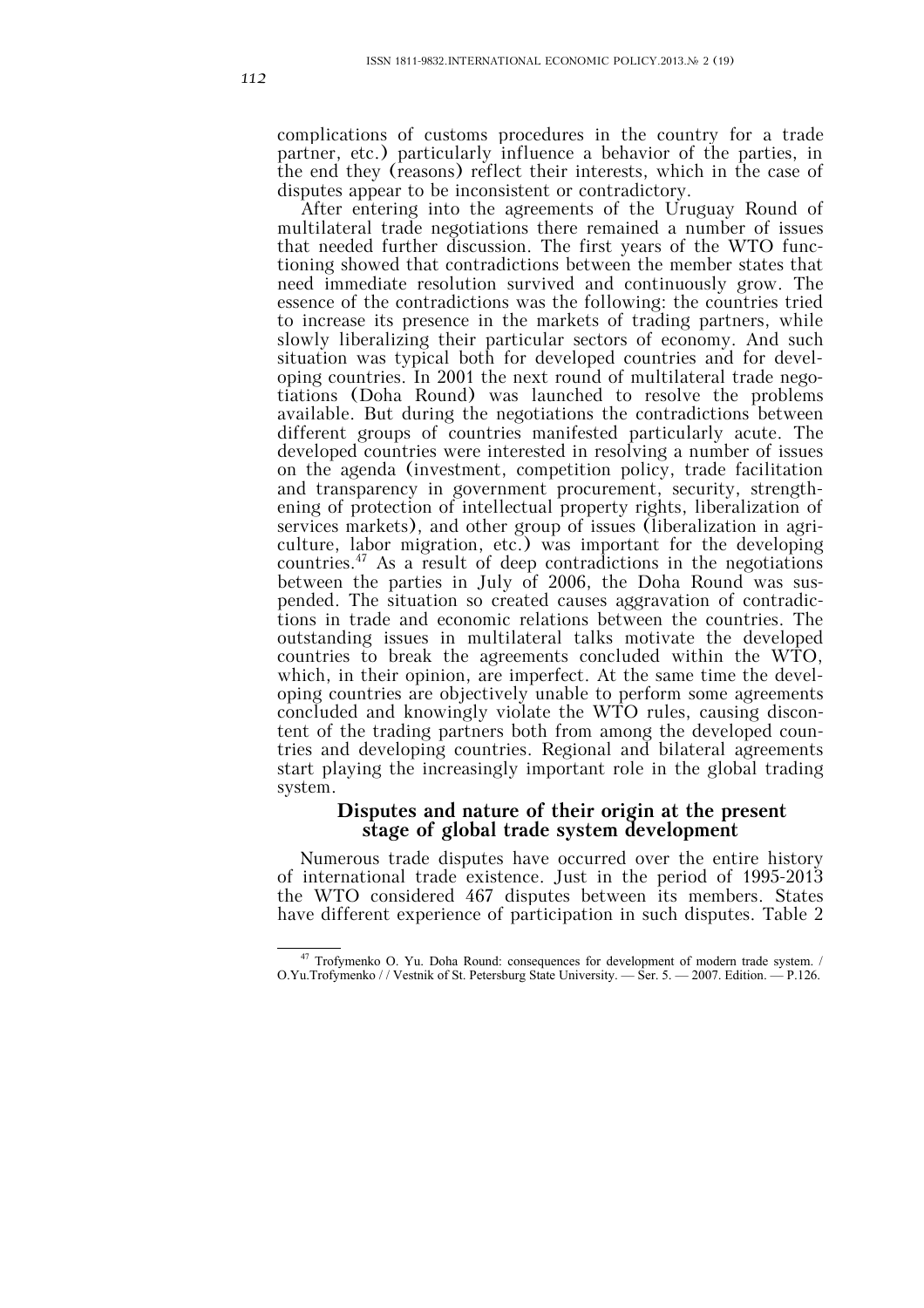complications of customs procedures in the country for a trade partner, etc.) particularly influence a behavior of the parties, in the end they (reasons) reflect their interests, which in the case of disputes appear to be inconsistent or contradictory.

After entering into the agreements of the Uruguay Round of multilateral trade negotiations there remained a number of issues that needed further discussion. The first years of the WTO functioning showed that contradictions between the member states that need immediate resolution survived and continuously grow. The essence of the contradictions was the following: the countries tried to increase its presence in the markets of trading partners, while slowly liberalizing their particular sectors of economy. And such situation was typical both for developed countries and for developing countries. In 2001 the next round of multilateral trade negotiations (Doha Round) was launched to resolve the problems available. But during the negotiations the contradictions between different groups of countries manifested particularly acute. The developed countries were interested in resolving a number of issues on the agenda (investment, competition policy, trade facilitation and transparency in government procurement, security, strengthening of protection of intellectual property rights, liberalization of services markets), and other group of issues (liberalization in agriculture, labor migration, etc.) was important for the developing countries.47 As a result of deep contradictions in the negotiations between the parties in July of 2006, the Doha Round was suspended. The situation so created causes aggravation of contradictions in trade and economic relations between the countries. The outstanding issues in multilateral talks motivate the developed countries to break the agreements concluded within the WTO, which, in their opinion, are imperfect. At the same time the developing countries are objectively unable to perform some agreements concluded and knowingly violate the WTO rules, causing discontent of the trading partners both from among the developed countries and developing countries. Regional and bilateral agreements start playing the increasingly important role in the global trading system.

# **Disputes and nature of their origin at the present stage of global trade system development**

Numerous trade disputes have occurred over the entire history of international trade existence. Just in the period of 1995-2013 the WTO considered 467 disputes between its members. States have different experience of participation in such disputes. Table 2

<sup>&</sup>lt;sup>47</sup> Trofymenko O. Yu. Doha Round: consequences for development of modern trade system. / O.Yu.Trofymenko / / Vestnik of St. Petersburg State University. — Ser. 5. — 2007. Edition. — P.126.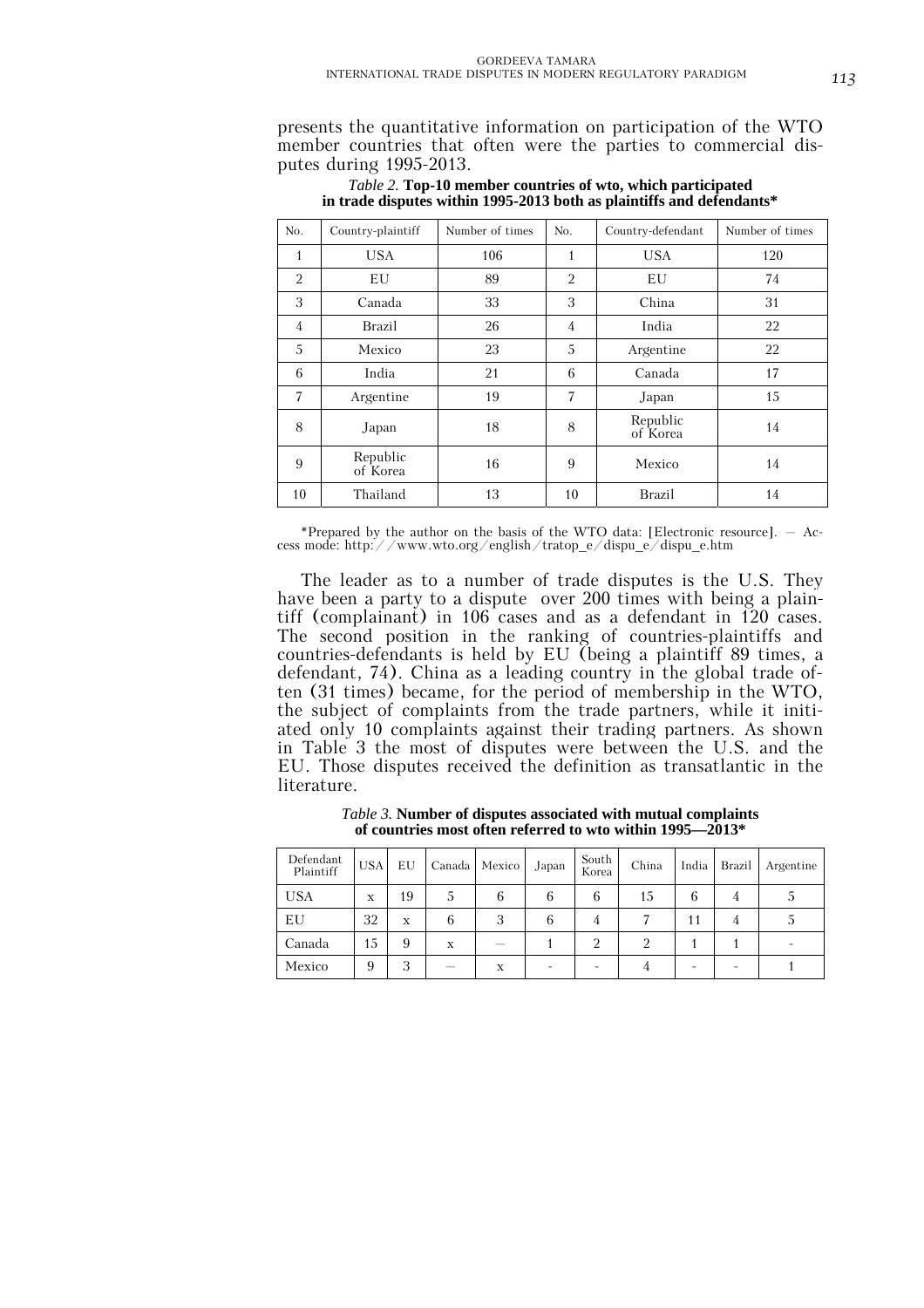presents the quantitative information on participation of the WTO member countries that often were the parties to commercial disputes during 1995-2013.

| No.            | Country-plaintiff    | Number of times | No. | Country-defendant    | Number of times |
|----------------|----------------------|-----------------|-----|----------------------|-----------------|
| 1              | <b>USA</b>           | 106             | 1   | <b>USA</b>           | 120             |
| $\overline{2}$ | EU                   | 89              | 2   | EU                   | 74              |
| 3              | Canada               | 33              | 3   | China                | 31              |
| 4              | <b>Brazil</b>        | 26              | 4   | India                | 22              |
| 5              | Mexico               | 23              | 5   | Argentine            | 22              |
| 6              | India                | 21              | 6   | Canada               | 17              |
| $\overline{7}$ | Argentine            | 19              | 7   | Japan                | 15              |
| 8              | Japan                | 18              | 8   | Republic<br>of Korea | 14              |
| 9              | Republic<br>of Korea | 16              | 9   | Mexico               | 14              |
| 10             | Thailand             | 13              | 10  | <b>Brazil</b>        | 14              |

*Table 2.* **Top-10 member countries of wto, which participated in trade disputes within 1995-2013 both as plaintiffs and defendants\***

\*Prepared by the author on the basis of the WTO data: [Electronic resource]. – Access mode: http://www.wto.org/english/tratop\_e/dispu\_e/dispu\_e.htm

The leader as to a number of trade disputes is the U.S. They have been a party to a dispute over 200 times with being a plaintiff (complainant) in 106 cases and as a defendant in 120 cases. The second position in the ranking of countries-plaintiffs and countries-defendants is held by EU (being a plaintiff 89 times, a defendant, 74). China as a leading country in the global trade often (31 times) became, for the period of membership in the WTO, the subject of complaints from the trade partners, while it initiated only 10 complaints against their trading partners. As shown in Table 3 the most of disputes were between the U.S. and the EU. Those disputes received the definition as transatlantic in the literature.

| Defendant<br>Plaintiff | <b>USA</b> | EU |   | Canada Mexico            | Japan | South<br>Korea | China | India | Brazil | Argentine |
|------------------------|------------|----|---|--------------------------|-------|----------------|-------|-------|--------|-----------|
| <b>USA</b>             | X          | 19 |   | 6                        | 6     | 6              | 15    | 6     |        |           |
| ΕU                     | 32         | X  | 6 | 3                        | 6     | 4              |       |       |        |           |
| Canada                 | 15         | 9  | X | $\overline{\phantom{a}}$ |       | 2              |       |       |        |           |
| Mexico                 | 9          | 3  | _ | X                        |       |                |       |       |        |           |

*Table 3.* **Number of disputes associated with mutual complaints of countries most often referred to wto within 1995—2013\***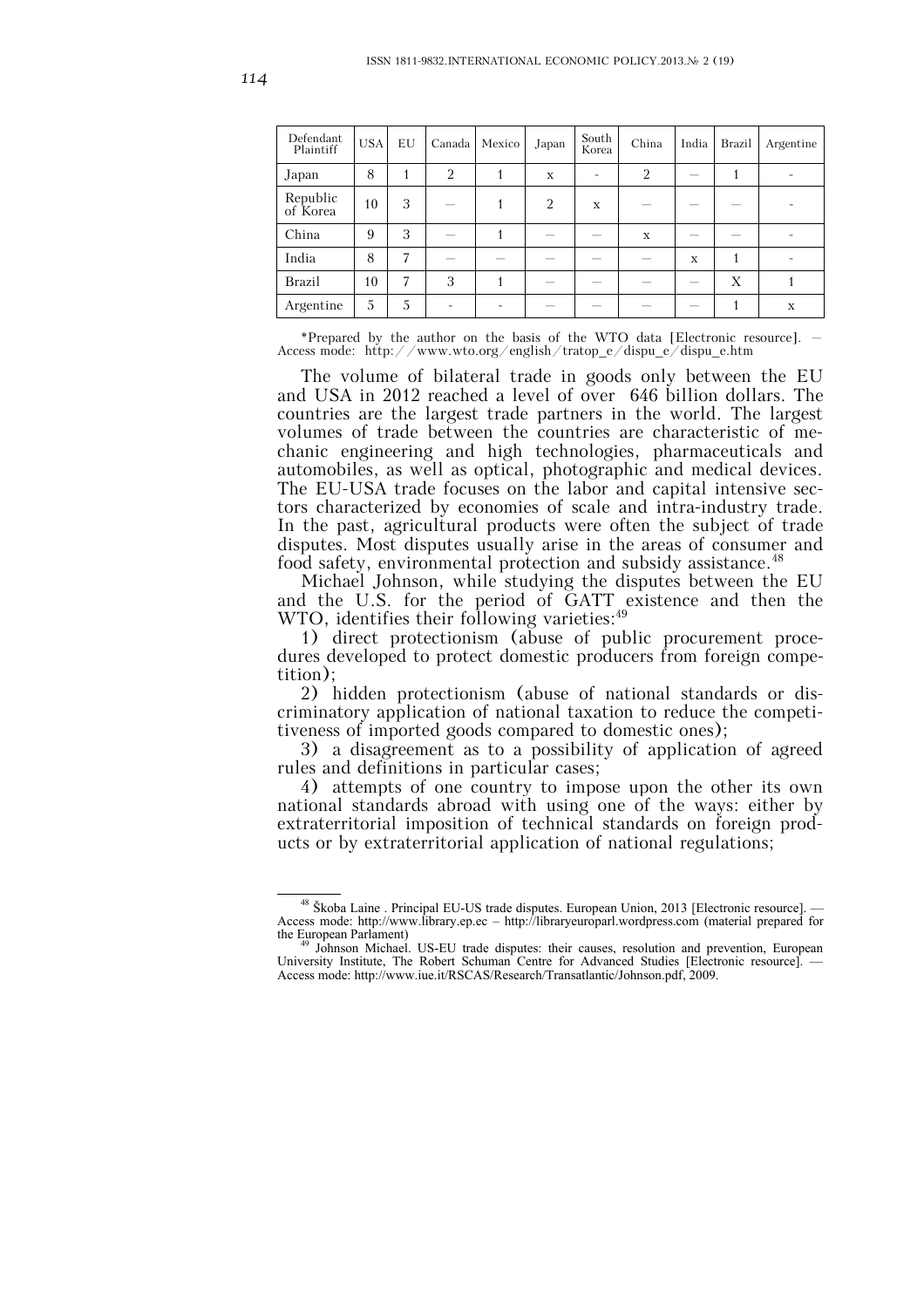| Defendant<br>Plaintiff | <b>USA</b> | EU | Canada         | Mexico | Japan          | South<br>Korea | China | India                    | Brazil | Argentine |
|------------------------|------------|----|----------------|--------|----------------|----------------|-------|--------------------------|--------|-----------|
| Japan                  | 8          |    | $\overline{2}$ |        | X              |                | 2     |                          |        |           |
| Republic<br>of Korea   | 10         | 3  |                |        | $\overline{2}$ | X              |       |                          |        |           |
| China                  | 9          | 3  |                |        |                |                | X     | $\overline{\phantom{a}}$ |        |           |
| India                  | 8          | 7  |                |        |                |                |       | $\mathbf x$              |        |           |
| Brazil                 | 10         | 7  | 3              |        |                |                |       |                          | Х      |           |
| Argentine              | 5          | 5  |                |        |                |                |       | $\overline{\phantom{a}}$ |        | X         |

\*Prepared by the author on the basis of the WTO data [Electronic resource]. – Access mode: http://www.wto.org/english/tratop\_e/dispu\_e/dispu\_e.htm

The volume of bilateral trade in goods only between the EU and USA in 2012 reached a level of over 646 billion dollars. The countries are the largest trade partners in the world. The largest volumes of trade between the countries are characteristic of mechanic engineering and high technologies, pharmaceuticals and automobiles, as well as optical, photographic and medical devices. The EU-USA trade focuses on the labor and capital intensive sectors characterized by economies of scale and intra-industry trade. In the past, agricultural products were often the subject of trade disputes. Most disputes usually arise in the areas of consumer and food safety, environmental protection and subsidy assistance.<sup>48</sup>

Michael Johnson, while studying the disputes between the EU and the U.S. for the period of GATT existence and then the WTO, identifies their following varieties:<sup>49</sup>

1) direct protectionism (abuse of public procurement procedures developed to protect domestic producers from foreign competition);

2) hidden protectionism (abuse of national standards or discriminatory application of national taxation to reduce the competitiveness of imported goods compared to domestic ones);

3) a disagreement as to a possibility of application of agreed rules and definitions in particular cases;

4) attempts of one country to impose upon the other its own national standards abroad with using one of the ways: either by extraterritorial imposition of technical standards on foreign products or by extraterritorial application of national regulations;

<sup>&</sup>lt;sup>48</sup> Škoba Laine . Principal EU-US trade disputes. European Union, 2013 [Electronic resource]. Access mode: http://www.library.ep.ec – http://libraryeuroparl.wordpress.com (material prepared for the European Parlament)<br><sup>49</sup> Johnson Michael. US-EU trade disputes: their causes, resolution and prevention, European

University Institute, The Robert Schuman Centre for Advanced Studies [Electronic resource]. — Access mode: http://www.iue.it/RSCAS/Research/Transatlantic/Johnson.pdf, 2009.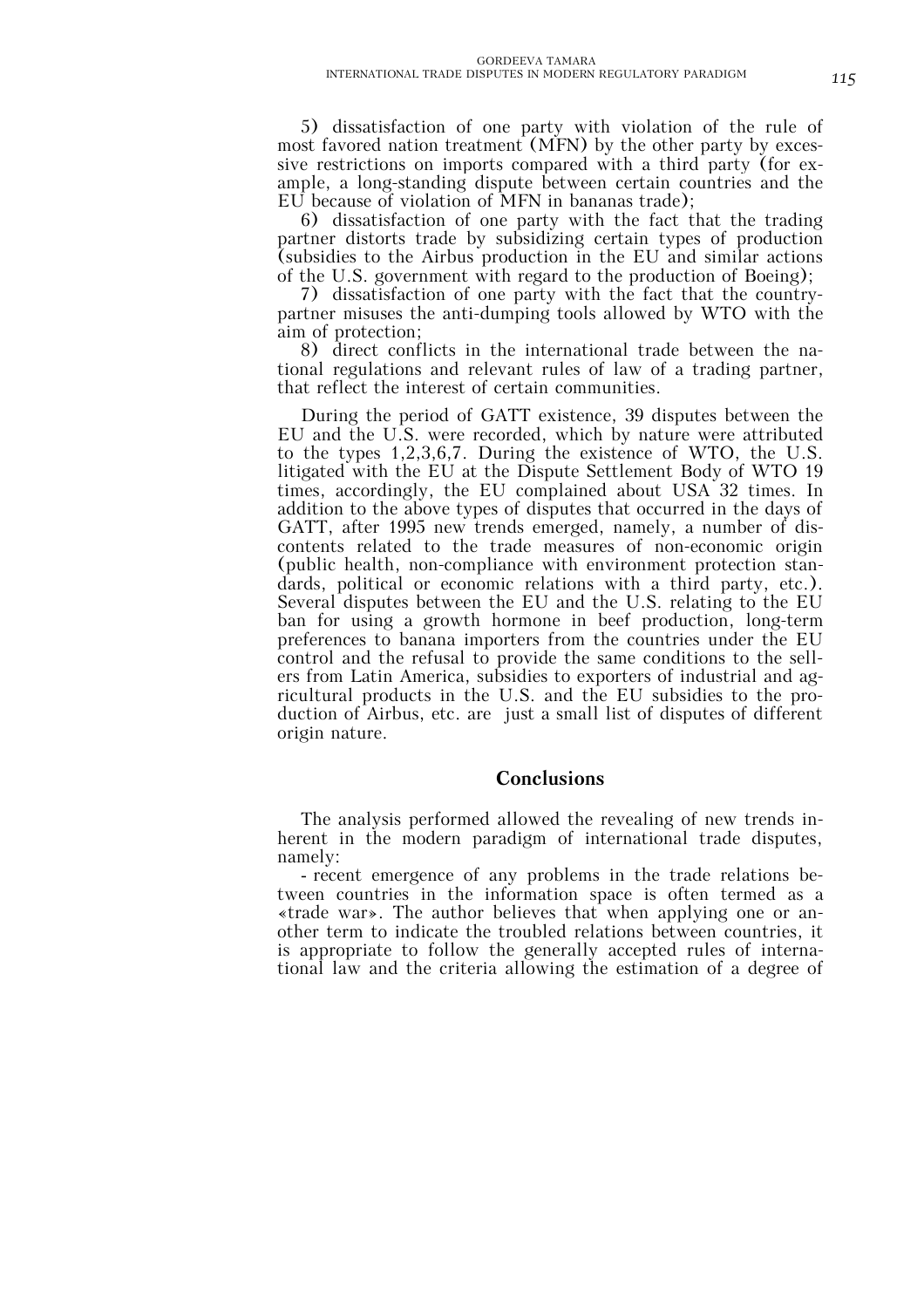5) dissatisfaction of one party with violation of the rule of most favored nation treatment (MFN) by the other party by excessive restrictions on imports compared with a third party (for example, a long-standing dispute between certain countries and the EU because of violation of MFN in bananas trade);

6) dissatisfaction of one party with the fact that the trading partner distorts trade by subsidizing certain types of production (subsidies to the Airbus production in the EU and similar actions of the U.S. government with regard to the production of Boeing);

7) dissatisfaction of one party with the fact that the countrypartner misuses the anti-dumping tools allowed by WTO with the aim of protection;

8) direct conflicts in the international trade between the national regulations and relevant rules of law of a trading partner, that reflect the interest of certain communities.

During the period of GATT existence, 39 disputes between the EU and the U.S. were recorded, which by nature were attributed to the types 1,2,3,6,7. During the existence of WTO, the U.S. litigated with the EU at the Dispute Settlement Body of WTO 19 times, accordingly, the EU complained about USA 32 times. In addition to the above types of disputes that occurred in the days of GATT, after 1995 new trends emerged, namely, a number of discontents related to the trade measures of non-economic origin (public health, non-compliance with environment protection standards, political or economic relations with a third party, etc.). Several disputes between the EU and the U.S. relating to the EU ban for using a growth hormone in beef production, long-term preferences to banana importers from the countries under the EU control and the refusal to provide the same conditions to the sellers from Latin America, subsidies to exporters of industrial and agricultural products in the U.S. and the EU subsidies to the production of Airbus, etc. are just a small list of disputes of different origin nature.

### **Conclusions**

The analysis performed allowed the revealing of new trends inherent in the modern paradigm of international trade disputes, namely:

- recent emergence of any problems in the trade relations between countries in the information space is often termed as a «trade war». The author believes that when applying one or another term to indicate the troubled relations between countries, it is appropriate to follow the generally accepted rules of international law and the criteria allowing the estimation of a degree of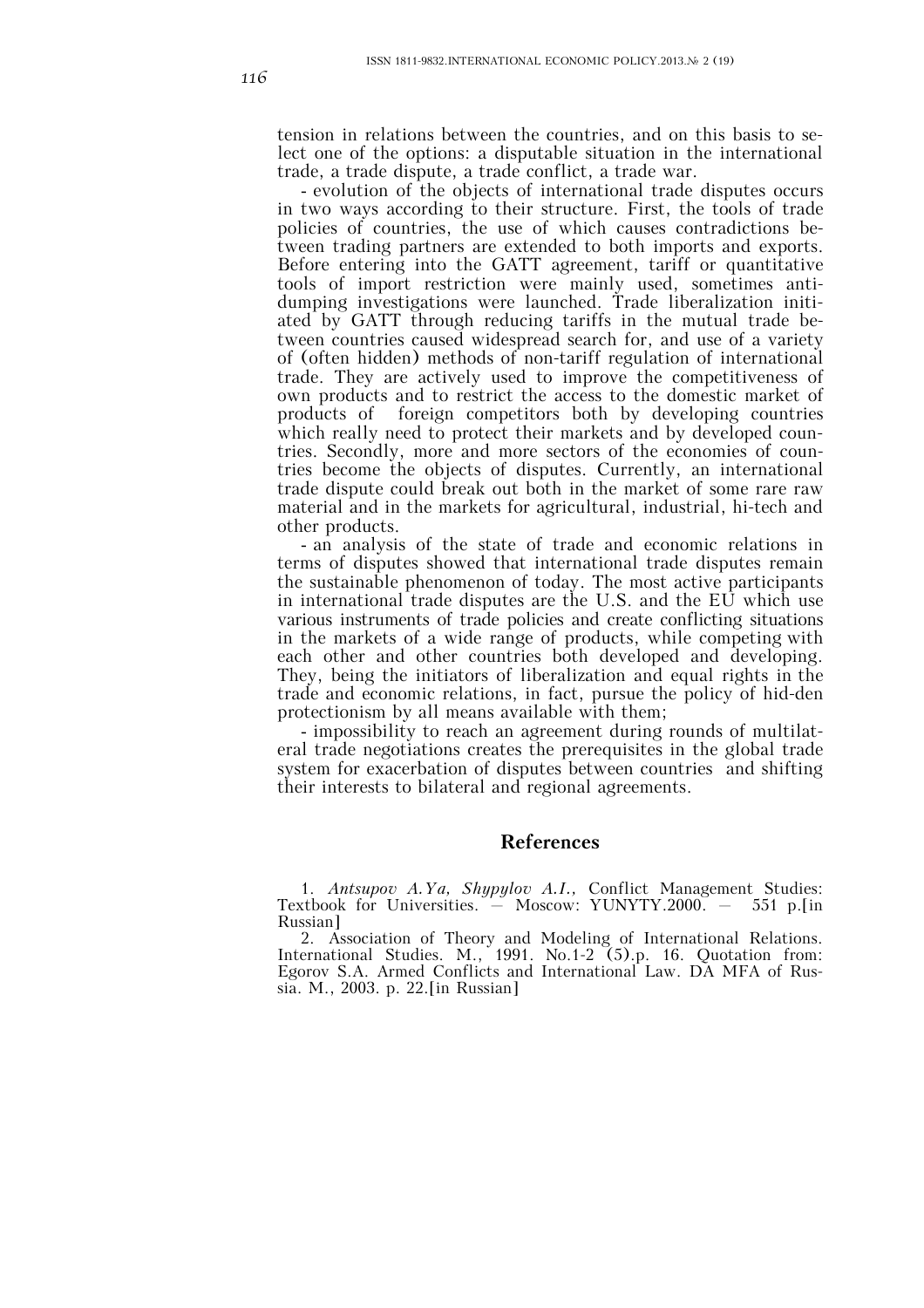tension in relations between the countries, and on this basis to select one of the options: a disputable situation in the international trade, a trade dispute, a trade conflict, a trade war.

- evolution of the objects of international trade disputes occurs in two ways according to their structure. First, the tools of trade policies of countries, the use of which causes contradictions between trading partners are extended to both imports and exports. Before entering into the GATT agreement, tariff or quantitative tools of import restriction were mainly used, sometimes antidumping investigations were launched. Trade liberalization initiated by GATT through reducing tariffs in the mutual trade between countries caused widespread search for, and use of a variety of (often hidden) methods of non-tariff regulation of international trade. They are actively used to improve the competitiveness of own products and to restrict the access to the domestic market of products of foreign competitors both by developing countries which really need to protect their markets and by developed countries. Secondly, more and more sectors of the economies of countries become the objects of disputes. Currently, an international trade dispute could break out both in the market of some rare raw material and in the markets for agricultural, industrial, hi-tech and other products.

- an analysis of the state of trade and economic relations in terms of disputes showed that international trade disputes remain the sustainable phenomenon of today. The most active participants in international trade disputes are the U.S. and the EU which use various instruments of trade policies and create conflicting situations in the markets of a wide range of products, while competing with each other and other countries both developed and developing. They, being the initiators of liberalization and equal rights in the trade and economic relations, in fact, pursue the policy of hid-den protectionism by all means available with them;

- impossibility to reach an agreement during rounds of multilateral trade negotiations creates the prerequisites in the global trade system for exacerbation of disputes between countries and shifting their interests to bilateral and regional agreements.

# **References**

1. *Antsupov A.Ya, Shypylov A.I.,* Conflict Management Studies: Textbook for Universities. – Moscow: YUNYTY.2000. – 551 p.[in Russian]

2. Association of Theory and Modeling of International Relations. International Studies. M., 1991. No.1-2 (5).p. 16. Quotation from: Egorov S.A. Armed Conflicts and International Law. DA MFA of Russia. M., 2003. p. 22.[in Russian]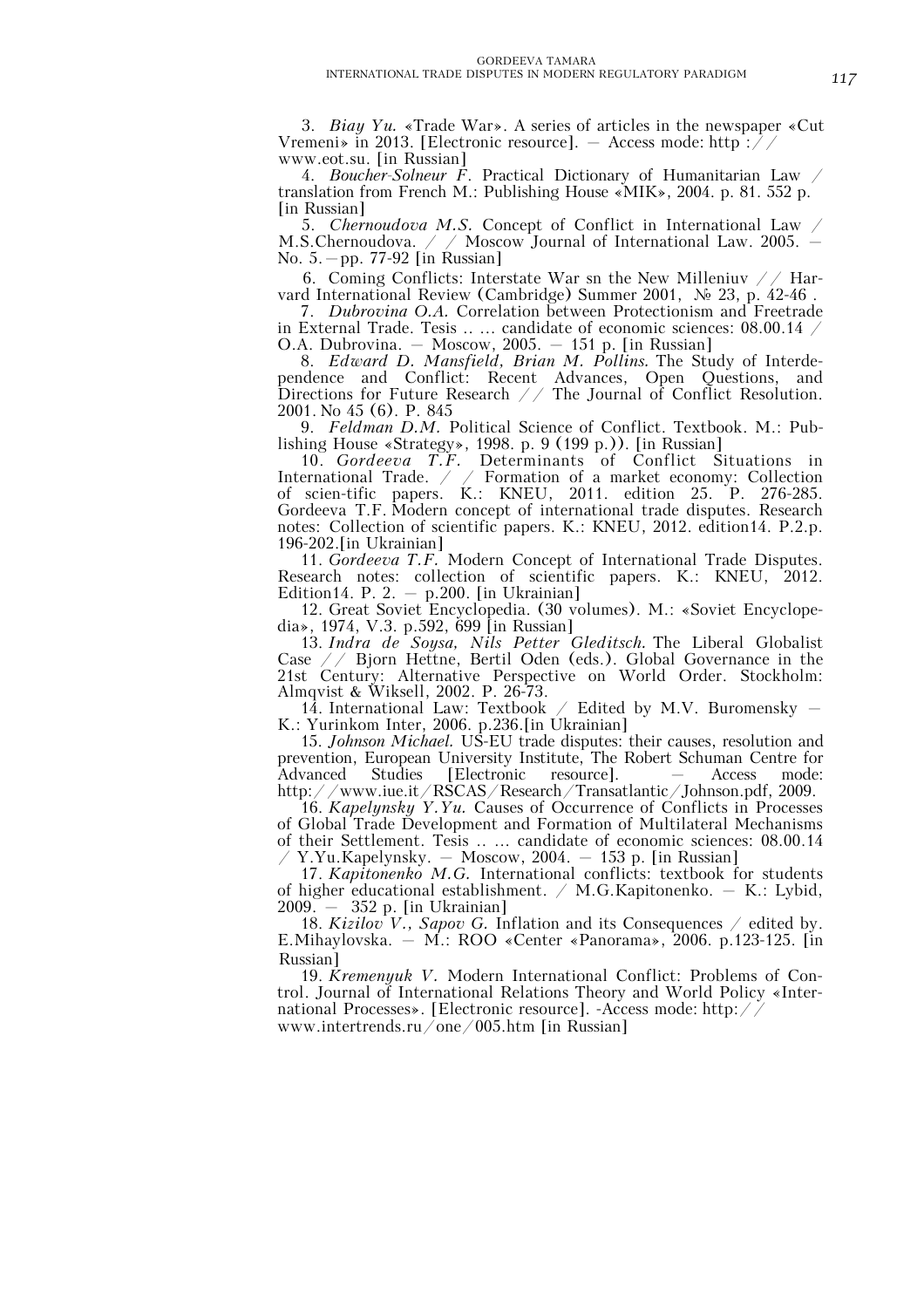3. *Biay Yu.* «Trade War». A series of articles in the newspaper «Cut Vremeni» in 2013. [Electronic resource].  $-$  Access mode: http:// www.eot.su. [in Russian]

4. *Boucher-Solneur F*. Practical Dictionary of Humanitarian Law / translation from French M.: Publishing House «MIK», 2004. p. 81. 552 p. [in Russian]

5. *Chernoudova M.S.* Concept of Conflict in International Law / M.S.Chernoudova. / / Moscow Journal of International Law. 2005. – No. 5.–pp. 77-92 [in Russian]

6. Coming Conflicts: Interstate War sn the New Milleniuv // Harvard International Review (Cambridge) Summer 2001, № 23, р. 42-46 .

7. *Dubrovina O.A.* Correlation between Protectionism and Freetrade in External Trade. Tesis .. ... candidate of economic sciences: 08.00.14  $\,$ O.A. Dubrovina. – Moscow, 2005. – 151 p. [in Russian]

8. *Edward D. Mansfield, Brian M. Pollins.* The Study of Interdependence and Conflict: Recent Advances, Open Questions, and Directions for Future Research // The Journal of Conflict Resolution. 2001. No 45 (6). P. 845

9. *Feldman D.M.* Political Science of Conflict. Textbook. M.: Publishing House «Strategy», 1998. p. 9 (199 p.)). [in Russian]

10. *Gordeeva T.F.* Determinants of Conflict Situations in International Trade. / / Formation of a market economy: Collection of scien-tific papers. K.: KNEU, 2011. edition 25. P. 276-285. Gordeeva T.F. Modern concept of international trade disputes. Research notes: Collection of scientific papers. K.: KNEU, 2012. edition14. P.2.p. 196-202.[in Ukrainian]

11. *Gordeeva T.F.* Modern Concept of International Trade Disputes. Research notes: collection of scientific papers. K.: KNEU, 2012. Edition14. P. 2.  $-$  p.200. [in Ukrainian]

12. Great Soviet Encyclopedia. (30 volumes). M.: «Soviet Encyclopedia», 1974, V.3. p.592, 699 [in Russian]

13. *Indra de Soysa, Nils Petter Gleditsch.* The Liberal Globalist Case // Bjorn Hettne, Bertil Oden (eds.). Global Governance in the 21st Century: Alternative Perspective on World Order. Stockholm: Almqvist & Wiksell, 2002. P. 26-73.

 $14$ . International Law: Textbook / Edited by M.V. Buromensky – K.: Yurinkom Inter, 2006. p.236.[in Ukrainian]

15. *Johnson Michael.* US-EU trade disputes: their causes, resolution and prevention, European University Institute, The Robert Schuman Centre for Advanced Studies [Electronic resource].  $-$  Access mode: Advanced Studies [Electronic resource]. – Access mode: http://www.iue.it/RSCAS/Research/Transatlantic/Johnson.pdf, 2009.

16. *Kapelynsky Y.Yu.* Causes of Occurrence of Conflicts in Processes of Global Trade Development and Formation of Multilateral Mechanisms of their Settlement. Tesis .. ... candidate of economic sciences: 08.00.14  $Y.Yu.Kapelynsky. - Moscow, 2004. - 153 p.$  [in Russian]

17. *Kapitonenko M.G.* International conflicts: textbook for students of higher educational establishment. / M.G.Kapitonenko. – K.: Lybid, 2009. – 352 p. [in Ukrainian]

18. *Kizilov V.*, *Sapov G.* Inflation and its Consequences  $\angle$  edited by. E.Mihaylovska. – M.: ROO «Center «Panorama», 2006. p.123-125. [in Russian]

19. *Kremenyuk V.* Modern International Conflict: Problems of Control. Journal of International Relations Theory and World Policy «International Processes». [Electronic resource]. -Access mode: http:// www.intertrends.ru/one/005.htm [in Russian]